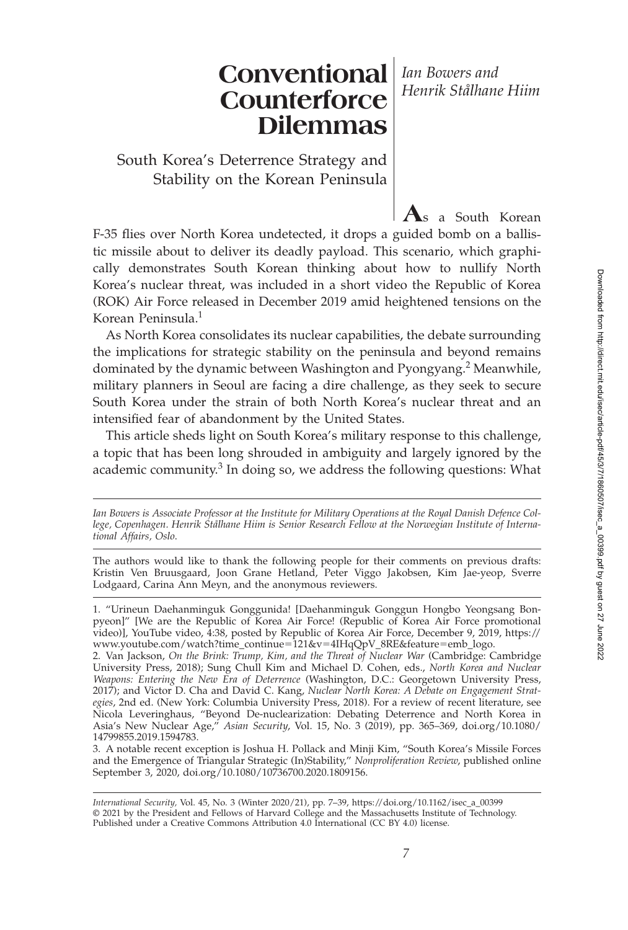# **Conventional** *Ian Bowers and* **Counterforce Dilemmas** *Henrik Stålhane Hiim*

South Korea's Deterrence Strategy and Stability on the Korean Peninsula

F-35 flies over North Korea undetected, it drops a guided bomb on a ballistic missile about to deliver its deadly payload. This scenario, which graphically demonstrates South Korean thinking about how to nullify North Korea's nuclear threat, was included in a short video the Republic of Korea (ROK) Air Force released in December 2019 amid heightened tensions on the Korean Peninsula.<sup>1</sup>

**A**s a South Korean

As North Korea consolidates its nuclear capabilities, the debate surrounding the implications for strategic stability on the peninsula and beyond remains dominated by the dynamic between Washington and Pyongyang.<sup>2</sup> Meanwhile, military planners in Seoul are facing a dire challenge, as they seek to secure South Korea under the strain of both North Korea's nuclear threat and an intensified fear of abandonment by the United States.

This article sheds light on South Korea's military response to this challenge, a topic that has been long shrouded in ambiguity and largely ignored by the academic community. $3$  In doing so, we address the following questions: What

*Ian Bowers is Associate Professor at the Institute for Military Operations at the Royal Danish Defence College, Copenhagen. Henrik Stålhane Hiim is Senior Research Fellow at the Norwegian Institute of International Affairs, Oslo*.

The authors would like to thank the following people for their comments on previous drafts: Kristin Ven Bruusgaard, Joon Grane Hetland, Peter Viggo Jakobsen, Kim Jae-yeop, Sverre Lodgaard, Carina Ann Meyn, and the anonymous reviewers.

<sup>1. &</sup>quot;Urineun Daehanminguk Gonggunida! [Daehanminguk Gonggun Hongbo Yeongsang Bonpyeon]" [We are the Republic of Korea Air Force! (Republic of Korea Air Force promotional video)], YouTube video, 4:38, posted by Republic of Korea Air Force, December 9, 2019, https:// www.youtube.com/watch?time\_continue-121&v-4IHqQpV\_8RE&feature-emb\_logo.

<sup>2.</sup> Van Jackson, *On the Brink: Trump, Kim, and the Threat of Nuclear War* (Cambridge: Cambridge University Press, 2018); Sung Chull Kim and Michael D. Cohen, eds., *North Korea and Nuclear Weapons: Entering the New Era of Deterrence* (Washington, D.C.: Georgetown University Press, 2017); and Victor D. Cha and David C. Kang, *Nuclear North Korea: A Debate on Engagement Strategies*, 2nd ed. (New York: Columbia University Press, 2018). For a review of recent literature, see Nicola Leveringhaus, "Beyond De-nuclearization: Debating Deterrence and North Korea in Asia's New Nuclear Age," *Asian Security*, Vol. 15, No. 3 (2019), pp. 365–369, doi.org/10.1080/ 14799855.2019.1594783.

<sup>3.</sup> A notable recent exception is Joshua H. Pollack and Minji Kim, "South Korea's Missile Forces and the Emergence of Triangular Strategic (In)Stability," *Nonproliferation Review*, published online September 3, 2020, doi.org/10.1080/10736700.2020.1809156.

*International Security,* Vol. 45, No. 3 (Winter 2020/21), pp. 7–39, https://doi.org/10.1162/isec\_a\_00399 © 2021 by the President and Fellows of Harvard College and the Massachusetts Institute of Technology. Published under a Creative Commons Attribution 4.0 International (CC BY 4.0) license.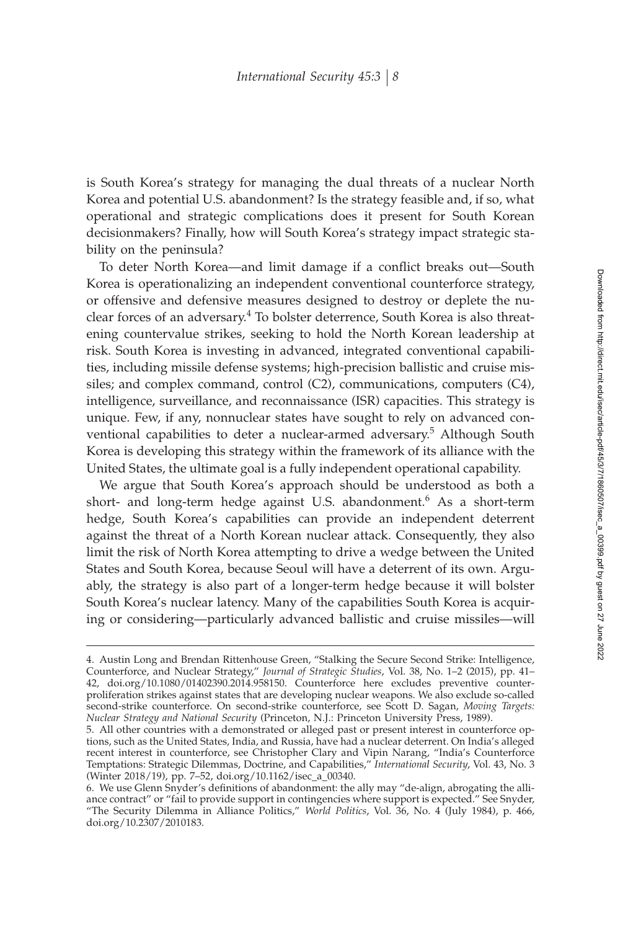is South Korea's strategy for managing the dual threats of a nuclear North Korea and potential U.S. abandonment? Is the strategy feasible and, if so, what operational and strategic complications does it present for South Korean decisionmakers? Finally, how will South Korea's strategy impact strategic stability on the peninsula?

To deter North Korea—and limit damage if a conflict breaks out—South Korea is operationalizing an independent conventional counterforce strategy, or offensive and defensive measures designed to destroy or deplete the nuclear forces of an adversary.<sup>4</sup> To bolster deterrence, South Korea is also threatening countervalue strikes, seeking to hold the North Korean leadership at risk. South Korea is investing in advanced, integrated conventional capabilities, including missile defense systems; high-precision ballistic and cruise missiles; and complex command, control (C2), communications, computers (C4), intelligence, surveillance, and reconnaissance (ISR) capacities. This strategy is unique. Few, if any, nonnuclear states have sought to rely on advanced conventional capabilities to deter a nuclear-armed adversary.<sup>5</sup> Although South Korea is developing this strategy within the framework of its alliance with the United States, the ultimate goal is a fully independent operational capability.

We argue that South Korea's approach should be understood as both a short- and long-term hedge against U.S. abandonment.<sup>6</sup> As a short-term hedge, South Korea's capabilities can provide an independent deterrent against the threat of a North Korean nuclear attack. Consequently, they also limit the risk of North Korea attempting to drive a wedge between the United States and South Korea, because Seoul will have a deterrent of its own. Arguably, the strategy is also part of a longer-term hedge because it will bolster South Korea's nuclear latency. Many of the capabilities South Korea is acquiring or considering—particularly advanced ballistic and cruise missiles—will

<sup>4.</sup> Austin Long and Brendan Rittenhouse Green, "Stalking the Secure Second Strike: Intelligence, Counterforce, and Nuclear Strategy," *Journal of Strategic Studies*, Vol. 38, No. 1–2 (2015), pp. 41– 42, doi.org/10.1080/01402390.2014.958150. Counterforce here excludes preventive counterproliferation strikes against states that are developing nuclear weapons. We also exclude so-called second-strike counterforce. On second-strike counterforce, see Scott D. Sagan, *Moving Targets: Nuclear Strategy and National Security* (Princeton, N.J.: Princeton University Press, 1989).

<sup>5.</sup> All other countries with a demonstrated or alleged past or present interest in counterforce options, such as the United States, India, and Russia, have had a nuclear deterrent. On India's alleged recent interest in counterforce, see Christopher Clary and Vipin Narang, "India's Counterforce Temptations: Strategic Dilemmas, Doctrine, and Capabilities," *International Security*, Vol. 43, No. 3 (Winter 2018/19), pp. 7–52, doi.org/10.1162/isec\_a\_00340.

<sup>6.</sup> We use Glenn Snyder's definitions of abandonment: the ally may "de-align, abrogating the alliance contract" or "fail to provide support in contingencies where support is expected." See Snyder, "The Security Dilemma in Alliance Politics," *World Politics*, Vol. 36, No. 4 (July 1984), p. 466, doi.org/10.2307/2010183.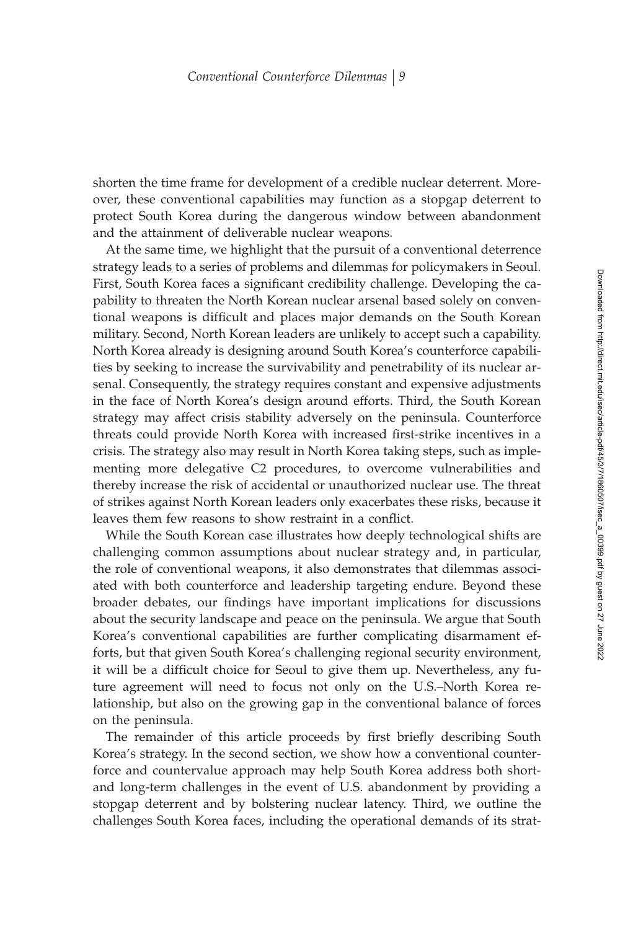shorten the time frame for development of a credible nuclear deterrent. Moreover, these conventional capabilities may function as a stopgap deterrent to protect South Korea during the dangerous window between abandonment and the attainment of deliverable nuclear weapons.

At the same time, we highlight that the pursuit of a conventional deterrence strategy leads to a series of problems and dilemmas for policymakers in Seoul. First, South Korea faces a significant credibility challenge. Developing the capability to threaten the North Korean nuclear arsenal based solely on conventional weapons is difficult and places major demands on the South Korean military. Second, North Korean leaders are unlikely to accept such a capability. North Korea already is designing around South Korea's counterforce capabilities by seeking to increase the survivability and penetrability of its nuclear arsenal. Consequently, the strategy requires constant and expensive adjustments in the face of North Korea's design around efforts. Third, the South Korean strategy may affect crisis stability adversely on the peninsula. Counterforce threats could provide North Korea with increased first-strike incentives in a crisis. The strategy also may result in North Korea taking steps, such as implementing more delegative C2 procedures, to overcome vulnerabilities and thereby increase the risk of accidental or unauthorized nuclear use. The threat of strikes against North Korean leaders only exacerbates these risks, because it leaves them few reasons to show restraint in a conflict.

While the South Korean case illustrates how deeply technological shifts are challenging common assumptions about nuclear strategy and, in particular, the role of conventional weapons, it also demonstrates that dilemmas associated with both counterforce and leadership targeting endure. Beyond these broader debates, our findings have important implications for discussions about the security landscape and peace on the peninsula. We argue that South Korea's conventional capabilities are further complicating disarmament efforts, but that given South Korea's challenging regional security environment, it will be a difficult choice for Seoul to give them up. Nevertheless, any future agreement will need to focus not only on the U.S.–North Korea relationship, but also on the growing gap in the conventional balance of forces on the peninsula.

The remainder of this article proceeds by first briefly describing South Korea's strategy. In the second section, we show how a conventional counterforce and countervalue approach may help South Korea address both shortand long-term challenges in the event of U.S. abandonment by providing a stopgap deterrent and by bolstering nuclear latency. Third, we outline the challenges South Korea faces, including the operational demands of its strat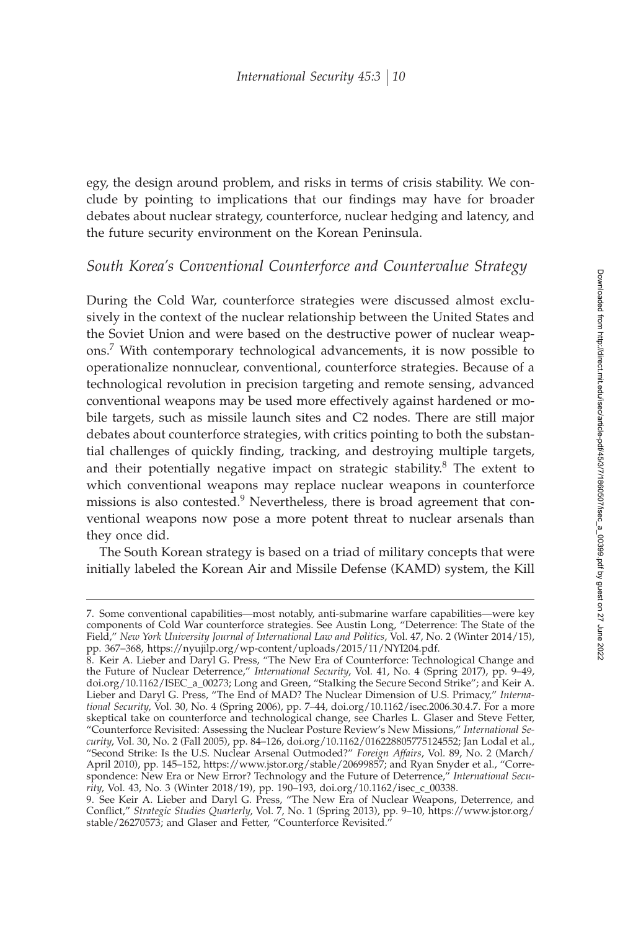egy, the design around problem, and risks in terms of crisis stability. We conclude by pointing to implications that our findings may have for broader debates about nuclear strategy, counterforce, nuclear hedging and latency, and the future security environment on the Korean Peninsula.

### *South Korea's Conventional Counterforce and Countervalue Strategy*

During the Cold War, counterforce strategies were discussed almost exclusively in the context of the nuclear relationship between the United States and the Soviet Union and were based on the destructive power of nuclear weapons.<sup>7</sup> With contemporary technological advancements, it is now possible to operationalize nonnuclear, conventional, counterforce strategies. Because of a technological revolution in precision targeting and remote sensing, advanced conventional weapons may be used more effectively against hardened or mobile targets, such as missile launch sites and C2 nodes. There are still major debates about counterforce strategies, with critics pointing to both the substantial challenges of quickly finding, tracking, and destroying multiple targets, and their potentially negative impact on strategic stability.<sup>8</sup> The extent to which conventional weapons may replace nuclear weapons in counterforce missions is also contested.<sup>9</sup> Nevertheless, there is broad agreement that conventional weapons now pose a more potent threat to nuclear arsenals than they once did.

The South Korean strategy is based on a triad of military concepts that were initially labeled the Korean Air and Missile Defense (KAMD) system, the Kill

<sup>7.</sup> Some conventional capabilities—most notably, anti-submarine warfare capabilities—were key components of Cold War counterforce strategies. See Austin Long, "Deterrence: The State of the Field," *New York University Journal of International Law and Politics*, Vol. 47, No. 2 (Winter 2014/15), pp. 367–368, https://nyujilp.org/wp-content/uploads/2015/11/NYI204.pdf.

<sup>8.</sup> Keir A. Lieber and Daryl G. Press, "The New Era of Counterforce: Technological Change and the Future of Nuclear Deterrence," *International Security*, Vol. 41, No. 4 (Spring 2017), pp. 9–49, doi.org/10.1162/ISEC\_a\_00273; Long and Green, "Stalking the Secure Second Strike"; and Keir A. Lieber and Daryl G. Press, "The End of MAD? The Nuclear Dimension of U.S. Primacy," *International Security*, Vol. 30, No. 4 (Spring 2006), pp. 7–44, doi.org/10.1162/isec.2006.30.4.7. For a more skeptical take on counterforce and technological change, see Charles L. Glaser and Steve Fetter, "Counterforce Revisited: Assessing the Nuclear Posture Review's New Missions," *International Security*, Vol. 30, No. 2 (Fall 2005), pp. 84–126, doi.org/10.1162/016228805775124552; Jan Lodal et al., "Second Strike: Is the U.S. Nuclear Arsenal Outmoded?" *Foreign Affairs*, Vol. 89, No. 2 (March/ April 2010), pp. 145–152, https://www.jstor.org/stable/20699857; and Ryan Snyder et al., "Correspondence: New Era or New Error? Technology and the Future of Deterrence," *International Security*, Vol. 43, No. 3 (Winter 2018/19), pp. 190–193, doi.org/10.1162/isec\_c\_00338.

<sup>9.</sup> See Keir A. Lieber and Daryl G. Press, "The New Era of Nuclear Weapons, Deterrence, and Conºict," *Strategic Studies Quarterly*, Vol. 7, No. 1 (Spring 2013), pp. 9–10, https://www.jstor.org/ stable/26270573; and Glaser and Fetter, "Counterforce Revisited."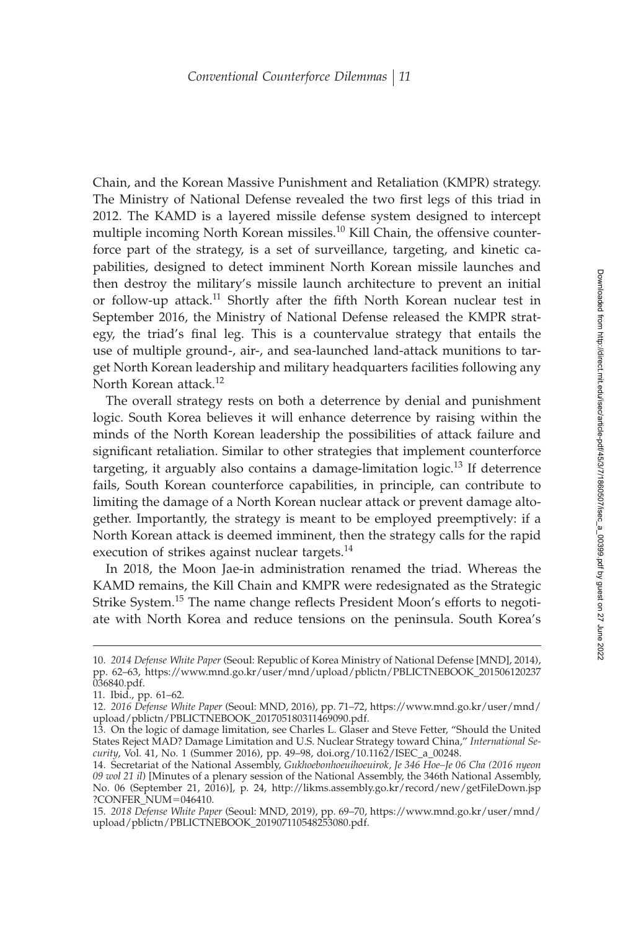Chain, and the Korean Massive Punishment and Retaliation (KMPR) strategy. The Ministry of National Defense revealed the two first legs of this triad in 2012. The KAMD is a layered missile defense system designed to intercept multiple incoming North Korean missiles.<sup>10</sup> Kill Chain, the offensive counterforce part of the strategy, is a set of surveillance, targeting, and kinetic capabilities, designed to detect imminent North Korean missile launches and then destroy the military's missile launch architecture to prevent an initial or follow-up attack.<sup>11</sup> Shortly after the fifth North Korean nuclear test in September 2016, the Ministry of National Defense released the KMPR strategy, the triad's final leg. This is a countervalue strategy that entails the use of multiple ground-, air-, and sea-launched land-attack munitions to target North Korean leadership and military headquarters facilities following any North Korean attack.<sup>12</sup>

The overall strategy rests on both a deterrence by denial and punishment logic. South Korea believes it will enhance deterrence by raising within the minds of the North Korean leadership the possibilities of attack failure and significant retaliation. Similar to other strategies that implement counterforce targeting, it arguably also contains a damage-limitation logic.<sup>13</sup> If deterrence fails, South Korean counterforce capabilities, in principle, can contribute to limiting the damage of a North Korean nuclear attack or prevent damage altogether. Importantly, the strategy is meant to be employed preemptively: if a North Korean attack is deemed imminent, then the strategy calls for the rapid execution of strikes against nuclear targets.<sup>14</sup>

In 2018, the Moon Jae-in administration renamed the triad. Whereas the KAMD remains, the Kill Chain and KMPR were redesignated as the Strategic Strike System.<sup>15</sup> The name change reflects President Moon's efforts to negotiate with North Korea and reduce tensions on the peninsula. South Korea's

<sup>10.</sup> *2014 Defense White Paper* (Seoul: Republic of Korea Ministry of National Defense [MND], 2014), pp. 62–63, https://www.mnd.go.kr/user/mnd/upload/pblictn/PBLICTNEBOOK\_201506120237 036840.pdf.

<sup>11.</sup> Ibid., pp. 61–62.

<sup>12.</sup> *2016 Defense White Paper* (Seoul: MND, 2016), pp. 71–72, https://www.mnd.go.kr/user/mnd/ upload/pblictn/PBLICTNEBOOK\_201705180311469090.pdf.

<sup>13.</sup> On the logic of damage limitation, see Charles L. Glaser and Steve Fetter, "Should the United States Reject MAD? Damage Limitation and U.S. Nuclear Strategy toward China," *International Security*, Vol. 41, No. 1 (Summer 2016), pp. 49–98, doi.org/10.1162/ISEC\_a\_00248.

<sup>14.</sup> Secretariat of the National Assembly, *Gukhoebonhoeuihoeuirok, Je 346 Hoe–Je 06 Cha (2016 nyeon 09 wol 21 il*) [Minutes of a plenary session of the National Assembly, the 346th National Assembly, No. 06 (September 21, 2016)], p. 24, http://likms.assembly.go.kr/record/new/getFileDown.jsp ?CONFER\_NUM=046410.

<sup>15.</sup> *2018 Defense White Paper* (Seoul: MND, 2019), pp. 69–70, https://www.mnd.go.kr/user/mnd/ upload/pblictn/PBLICTNEBOOK\_201907110548253080.pdf.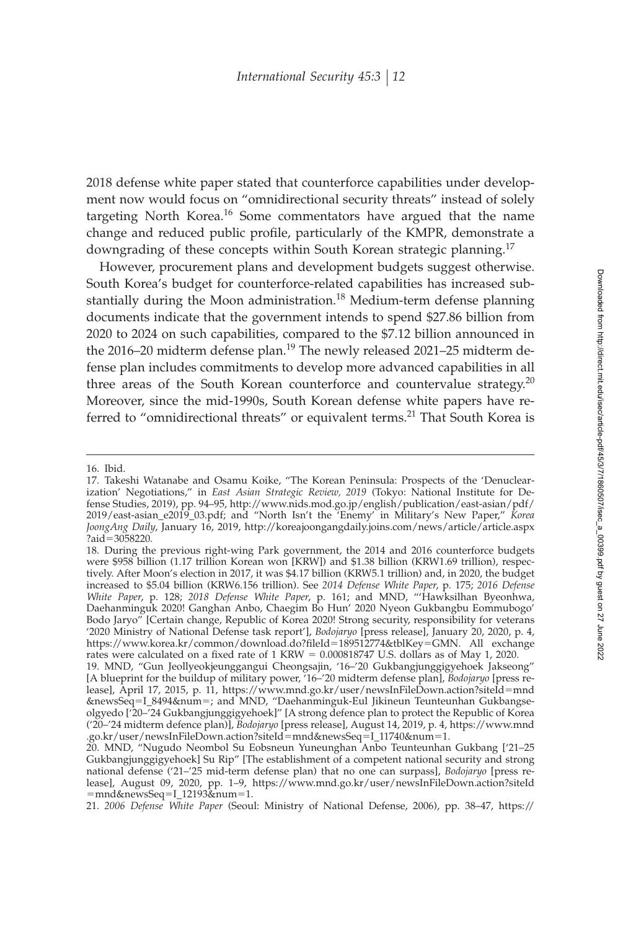2018 defense white paper stated that counterforce capabilities under development now would focus on "omnidirectional security threats" instead of solely targeting North Korea.<sup>16</sup> Some commentators have argued that the name change and reduced public profile, particularly of the KMPR, demonstrate a downgrading of these concepts within South Korean strategic planning.<sup>17</sup>

However, procurement plans and development budgets suggest otherwise. South Korea's budget for counterforce-related capabilities has increased substantially during the Moon administration.<sup>18</sup> Medium-term defense planning documents indicate that the government intends to spend \$27.86 billion from 2020 to 2024 on such capabilities, compared to the \$7.12 billion announced in the 2016–20 midterm defense plan.<sup>19</sup> The newly released 2021–25 midterm defense plan includes commitments to develop more advanced capabilities in all three areas of the South Korean counterforce and countervalue strategy. $20$ Moreover, since the mid-1990s, South Korean defense white papers have referred to "omnidirectional threats" or equivalent terms.<sup>21</sup> That South Korea is

21. *2006 Defense White Paper* (Seoul: Ministry of National Defense, 2006), pp. 38–47, https://

<sup>16.</sup> Ibid.

<sup>17.</sup> Takeshi Watanabe and Osamu Koike, "The Korean Peninsula: Prospects of the 'Denuclearization' Negotiations," in *East Asian Strategic Review, 2019* (Tokyo: National Institute for Defense Studies, 2019), pp. 94–95, http://www.nids.mod.go.jp/english/publication/east-asian/pdf/ 2019/east-asian\_e2019\_03.pdf; and "North Isn't the 'Enemy' in Military's New Paper," *Korea JoongAng Daily*, January 16, 2019, http://koreajoongangdaily.joins.com/news/article/article.aspx ?aid-3058220.

<sup>18.</sup> During the previous right-wing Park government, the 2014 and 2016 counterforce budgets were \$958 billion (1.17 trillion Korean won [KRW]) and \$1.38 billion (KRW1.69 trillion), respectively. After Moon's election in 2017, it was \$4.17 billion (KRW5.1 trillion) and, in 2020, the budget increased to \$5.04 billion (KRW6.156 trillion). See *2014 Defense White Paper*, p. 175; *2016 Defense White Paper*, p. 128; *2018 Defense White Paper*, p. 161; and MND, "'Hawksilhan Byeonhwa, Daehanminguk 2020! Ganghan Anbo, Chaegim Bo Hun' 2020 Nyeon Gukbangbu Eommubogo' Bodo Jaryo" [Certain change, Republic of Korea 2020! Strong security, responsibility for veterans '2020 Ministry of National Defense task report'], *Bodojaryo* [press release], January 20, 2020, p. 4, https://www.korea.kr/common/download.do?ªleId-189512774&tblKey-GMN. All exchange rates were calculated on a fixed rate of 1 KRW =  $0.000818747$  U.S. dollars as of May 1, 2020.

<sup>19.</sup> MND, "Gun Jeollyeokjeunggangui Cheongsajin, '16–'20 Gukbangjunggigyehoek Jakseong" [A blueprint for the buildup of military power, '16–'20 midterm defense plan], *Bodojaryo* [press release], April 17, 2015, p. 11, https://www.mnd.go.kr/user/newsInFileDown.action?siteId-mnd &newsSeq-I\_8494&num-; and MND, "Daehanminguk-Eul Jikineun Teunteunhan Gukbangseolgyedo ['20–'24 Gukbangjunggigyehoek]" [A strong defence plan to protect the Republic of Korea ('20–'24 midterm defence plan)], *Bodojaryo* [press release], August 14, 2019, p. 4, https://www.mnd .go.kr/user/newsInFileDown.action?siteId-mnd&newsSeq-I\_11740&num-1.

<sup>20.</sup> MND, "Nugudo Neombol Su Eobsneun Yuneunghan Anbo Teunteunhan Gukbang ['21–25 Gukbangjunggigyehoek] Su Rip" [The establishment of a competent national security and strong national defense ('21–'25 mid-term defense plan) that no one can surpass], *Bodojaryo* [press release], August 09, 2020, pp. 1–9, https://www.mnd.go.kr/user/newsInFileDown.action?siteId -mnd&newsSeq-I\_12193&num-1.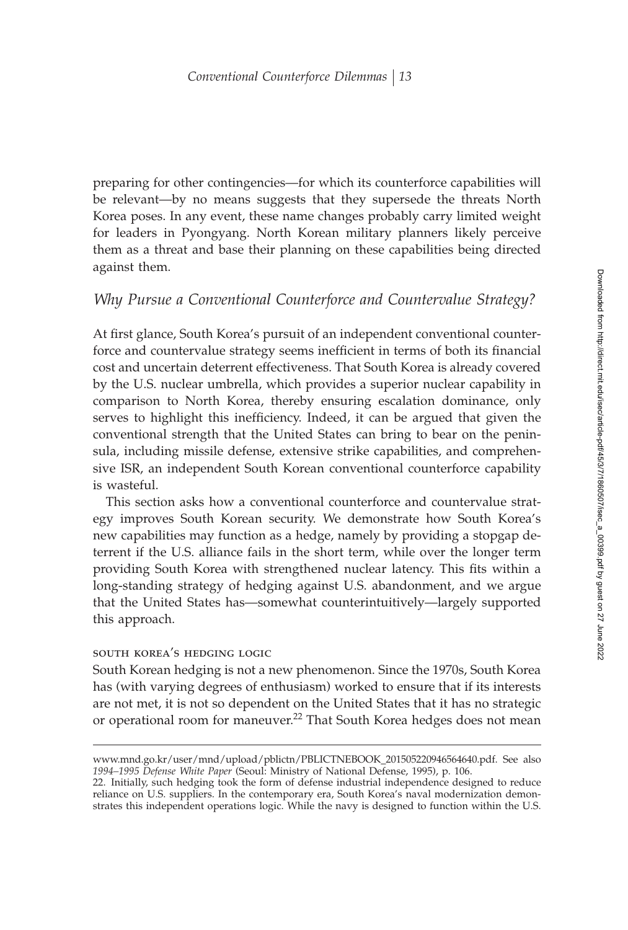preparing for other contingencies—for which its counterforce capabilities will be relevant—by no means suggests that they supersede the threats North Korea poses. In any event, these name changes probably carry limited weight for leaders in Pyongyang. North Korean military planners likely perceive them as a threat and base their planning on these capabilities being directed against them.

# *Why Pursue a Conventional Counterforce and Countervalue Strategy?*

At first glance, South Korea's pursuit of an independent conventional counterforce and countervalue strategy seems inefficient in terms of both its financial cost and uncertain deterrent effectiveness. That South Korea is already covered by the U.S. nuclear umbrella, which provides a superior nuclear capability in comparison to North Korea, thereby ensuring escalation dominance, only serves to highlight this inefficiency. Indeed, it can be argued that given the conventional strength that the United States can bring to bear on the peninsula, including missile defense, extensive strike capabilities, and comprehensive ISR, an independent South Korean conventional counterforce capability is wasteful.

This section asks how a conventional counterforce and countervalue strategy improves South Korean security. We demonstrate how South Korea's new capabilities may function as a hedge, namely by providing a stopgap deterrent if the U.S. alliance fails in the short term, while over the longer term providing South Korea with strengthened nuclear latency. This fits within a long-standing strategy of hedging against U.S. abandonment, and we argue that the United States has—somewhat counterintuitively—largely supported this approach.

#### south korea's hedging logic

South Korean hedging is not a new phenomenon. Since the 1970s, South Korea has (with varying degrees of enthusiasm) worked to ensure that if its interests are not met, it is not so dependent on the United States that it has no strategic or operational room for maneuver.<sup>22</sup> That South Korea hedges does not mean

www.mnd.go.kr/user/mnd/upload/pblictn/PBLICTNEBOOK\_201505220946564640.pdf. See also *1994–1995 Defense White Paper* (Seoul: Ministry of National Defense, 1995), p. 106.

<sup>22.</sup> Initially, such hedging took the form of defense industrial independence designed to reduce reliance on U.S. suppliers. In the contemporary era, South Korea's naval modernization demonstrates this independent operations logic. While the navy is designed to function within the U.S.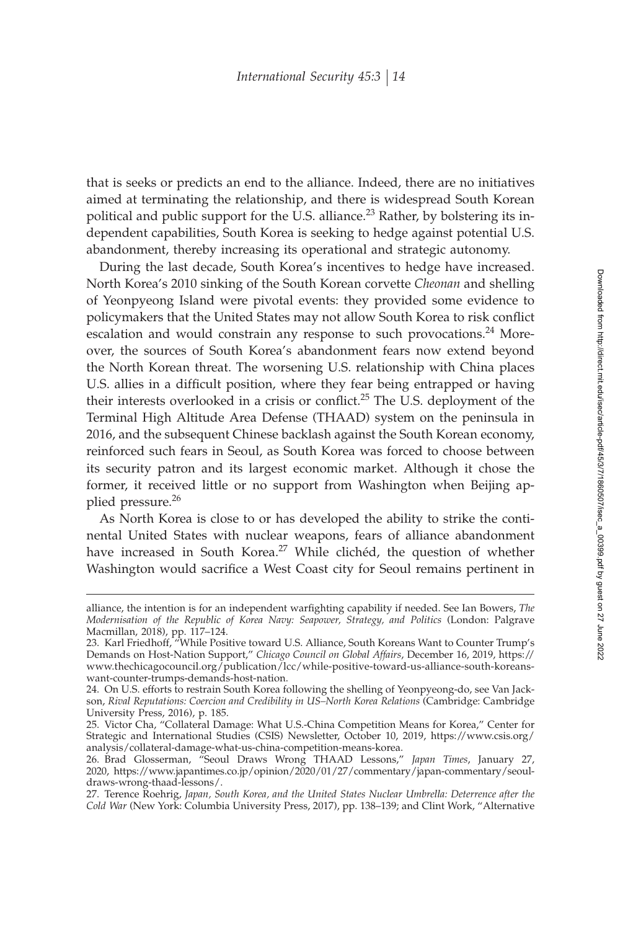that is seeks or predicts an end to the alliance. Indeed, there are no initiatives aimed at terminating the relationship, and there is widespread South Korean political and public support for the U.S. alliance.<sup>23</sup> Rather, by bolstering its independent capabilities, South Korea is seeking to hedge against potential U.S. abandonment, thereby increasing its operational and strategic autonomy.

During the last decade, South Korea's incentives to hedge have increased. North Korea's 2010 sinking of the South Korean corvette *Cheonan* and shelling of Yeonpyeong Island were pivotal events: they provided some evidence to policymakers that the United States may not allow South Korea to risk conflict escalation and would constrain any response to such provocations. $24$  Moreover, the sources of South Korea's abandonment fears now extend beyond the North Korean threat. The worsening U.S. relationship with China places U.S. allies in a difficult position, where they fear being entrapped or having their interests overlooked in a crisis or conflict.<sup>25</sup> The U.S. deployment of the Terminal High Altitude Area Defense (THAAD) system on the peninsula in 2016, and the subsequent Chinese backlash against the South Korean economy, reinforced such fears in Seoul, as South Korea was forced to choose between its security patron and its largest economic market. Although it chose the former, it received little or no support from Washington when Beijing applied pressure.<sup>26</sup>

As North Korea is close to or has developed the ability to strike the continental United States with nuclear weapons, fears of alliance abandonment have increased in South Korea.<sup>27</sup> While clichéd, the question of whether Washington would sacrifice a West Coast city for Seoul remains pertinent in

alliance, the intention is for an independent warfighting capability if needed. See Ian Bowers, *The Modernisation of the Republic of Korea Navy: Seapower, Strategy, and Politics* (London: Palgrave Macmillan, 2018), pp. 117–124.

<sup>23.</sup> Karl Friedhoff, "While Positive toward U.S. Alliance, South Koreans Want to Counter Trump's Demands on Host-Nation Support," *Chicago Council on Global Affairs*, December 16, 2019, https:// www.thechicagocouncil.org/publication/lcc/while-positive-toward-us-alliance-south-koreanswant-counter-trumps-demands-host-nation.

<sup>24.</sup> On U.S. efforts to restrain South Korea following the shelling of Yeonpyeong-do, see Van Jackson, *Rival Reputations: Coercion and Credibility in US–North Korea Relations* (Cambridge: Cambridge University Press, 2016), p. 185.

<sup>25.</sup> Victor Cha, "Collateral Damage: What U.S.-China Competition Means for Korea," Center for Strategic and International Studies (CSIS) Newsletter, October 10, 2019, https://www.csis.org/ analysis/collateral-damage-what-us-china-competition-means-korea.

<sup>26.</sup> Brad Glosserman, "Seoul Draws Wrong THAAD Lessons," *Japan Times*, January 27, 2020, https://www.japantimes.co.jp/opinion/2020/01/27/commentary/japan-commentary/seouldraws-wrong-thaad-lessons/.

<sup>27.</sup> Terence Roehrig, *Japan, South Korea, and the United States Nuclear Umbrella: Deterrence after the Cold War* (New York: Columbia University Press, 2017), pp. 138–139; and Clint Work, "Alternative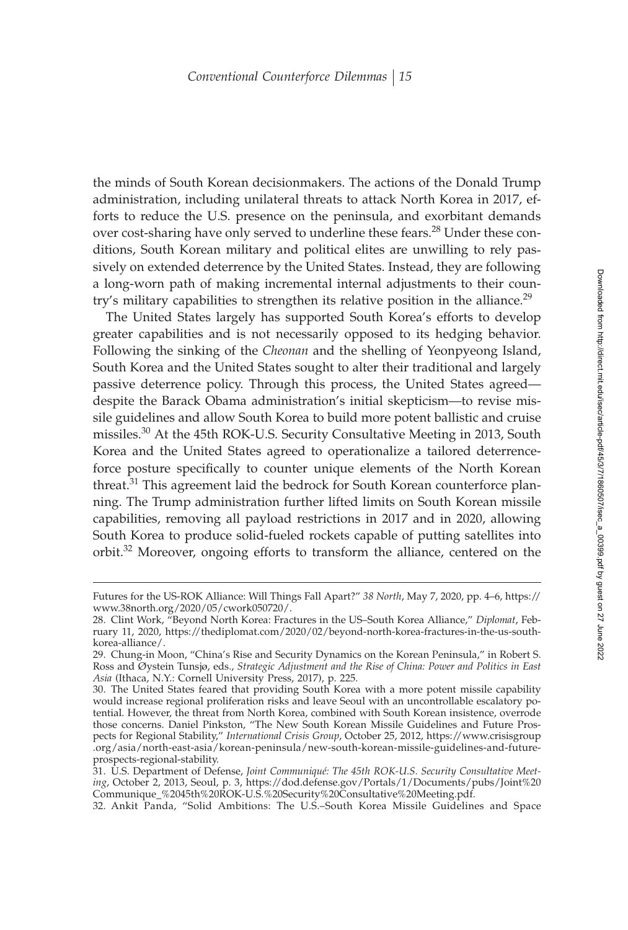the minds of South Korean decisionmakers. The actions of the Donald Trump administration, including unilateral threats to attack North Korea in 2017, efforts to reduce the U.S. presence on the peninsula, and exorbitant demands over cost-sharing have only served to underline these fears.<sup>28</sup> Under these conditions, South Korean military and political elites are unwilling to rely passively on extended deterrence by the United States. Instead, they are following a long-worn path of making incremental internal adjustments to their country's military capabilities to strengthen its relative position in the alliance.<sup>29</sup>

The United States largely has supported South Korea's efforts to develop greater capabilities and is not necessarily opposed to its hedging behavior. Following the sinking of the *Cheonan* and the shelling of Yeonpyeong Island, South Korea and the United States sought to alter their traditional and largely passive deterrence policy. Through this process, the United States agreed despite the Barack Obama administration's initial skepticism—to revise missile guidelines and allow South Korea to build more potent ballistic and cruise missiles.30 At the 45th ROK-U.S. Security Consultative Meeting in 2013, South Korea and the United States agreed to operationalize a tailored deterrenceforce posture specifically to counter unique elements of the North Korean threat.<sup>31</sup> This agreement laid the bedrock for South Korean counterforce planning. The Trump administration further lifted limits on South Korean missile capabilities, removing all payload restrictions in 2017 and in 2020, allowing South Korea to produce solid-fueled rockets capable of putting satellites into orbit.<sup>32</sup> Moreover, ongoing efforts to transform the alliance, centered on the

Futures for the US-ROK Alliance: Will Things Fall Apart?" *38 North*, May 7, 2020, pp. 4–6, https:// www.38north.org/2020/05/cwork050720/.

<sup>28.</sup> Clint Work, "Beyond North Korea: Fractures in the US–South Korea Alliance," *Diplomat*, February 11, 2020, https://thediplomat.com/2020/02/beyond-north-korea-fractures-in-the-us-southkorea-alliance/.

<sup>29.</sup> Chung-in Moon, "China's Rise and Security Dynamics on the Korean Peninsula," in Robert S. Ross and Øystein Tunsjø, eds., *Strategic Adjustment and the Rise of China: Power and Politics in East Asia* (Ithaca, N.Y.: Cornell University Press, 2017), p. 225.

<sup>30.</sup> The United States feared that providing South Korea with a more potent missile capability would increase regional proliferation risks and leave Seoul with an uncontrollable escalatory potential. However, the threat from North Korea, combined with South Korean insistence, overrode those concerns. Daniel Pinkston, "The New South Korean Missile Guidelines and Future Prospects for Regional Stability," *International Crisis Group*, October 25, 2012, https://www.crisisgroup .org/asia/north-east-asia/korean-peninsula/new-south-korean-missile-guidelines-and-futureprospects-regional-stability.

<sup>31.</sup> U.S. Department of Defense, *Joint Communiqué: The 45th ROK-U.S. Security Consultative Meeting*, October 2, 2013, Seoul, p. 3, https://dod.defense.gov/Portals/1/Documents/pubs/Joint%20 Communique\_%2045th%20ROK-U.S.%20Security%20Consultative%20Meeting.pdf.

<sup>32.</sup> Ankit Panda, "Solid Ambitions: The U.S.–South Korea Missile Guidelines and Space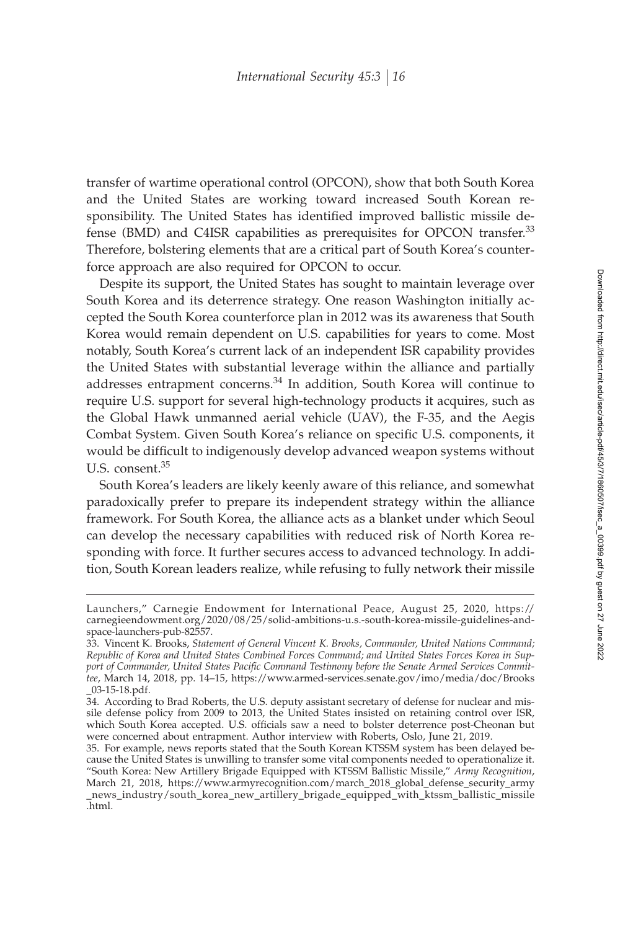transfer of wartime operational control (OPCON), show that both South Korea and the United States are working toward increased South Korean responsibility. The United States has identified improved ballistic missile defense (BMD) and C4ISR capabilities as prerequisites for OPCON transfer.<sup>33</sup> Therefore, bolstering elements that are a critical part of South Korea's counterforce approach are also required for OPCON to occur.

Despite its support, the United States has sought to maintain leverage over South Korea and its deterrence strategy. One reason Washington initially accepted the South Korea counterforce plan in 2012 was its awareness that South Korea would remain dependent on U.S. capabilities for years to come. Most notably, South Korea's current lack of an independent ISR capability provides the United States with substantial leverage within the alliance and partially addresses entrapment concerns.<sup>34</sup> In addition, South Korea will continue to require U.S. support for several high-technology products it acquires, such as the Global Hawk unmanned aerial vehicle (UAV), the F-35, and the Aegis Combat System. Given South Korea's reliance on specific U.S. components, it would be difficult to indigenously develop advanced weapon systems without U.S. consent.<sup>35</sup>

South Korea's leaders are likely keenly aware of this reliance, and somewhat paradoxically prefer to prepare its independent strategy within the alliance framework. For South Korea, the alliance acts as a blanket under which Seoul can develop the necessary capabilities with reduced risk of North Korea responding with force. It further secures access to advanced technology. In addition, South Korean leaders realize, while refusing to fully network their missile

Launchers," Carnegie Endowment for International Peace, August 25, 2020, https:// carnegieendowment.org/2020/08/25/solid-ambitions-u.s.-south-korea-missile-guidelines-andspace-launchers-pub-82557.

<sup>33.</sup> Vincent K. Brooks, *Statement of General Vincent K. Brooks, Commander, United Nations Command; Republic of Korea and United States Combined Forces Command; and United States Forces Korea in Sup*port of Commander, United States Pacific Command Testimony before the Senate Armed Services Commit*tee*, March 14, 2018, pp. 14–15, https://www.armed-services.senate.gov/imo/media/doc/Brooks \_03-15-18.pdf.

<sup>34.</sup> According to Brad Roberts, the U.S. deputy assistant secretary of defense for nuclear and missile defense policy from 2009 to 2013, the United States insisted on retaining control over ISR, which South Korea accepted. U.S. officials saw a need to bolster deterrence post-Cheonan but were concerned about entrapment. Author interview with Roberts, Oslo, June 21, 2019.

<sup>35.</sup> For example, news reports stated that the South Korean KTSSM system has been delayed because the United States is unwilling to transfer some vital components needed to operationalize it. "South Korea: New Artillery Brigade Equipped with KTSSM Ballistic Missile," *Army Recognition*, March 21, 2018, https://www.armyrecognition.com/march\_2018\_global\_defense\_security\_army \_news\_industry/south\_korea\_new\_artillery\_brigade\_equipped\_with\_ktssm\_ballistic\_missile .html.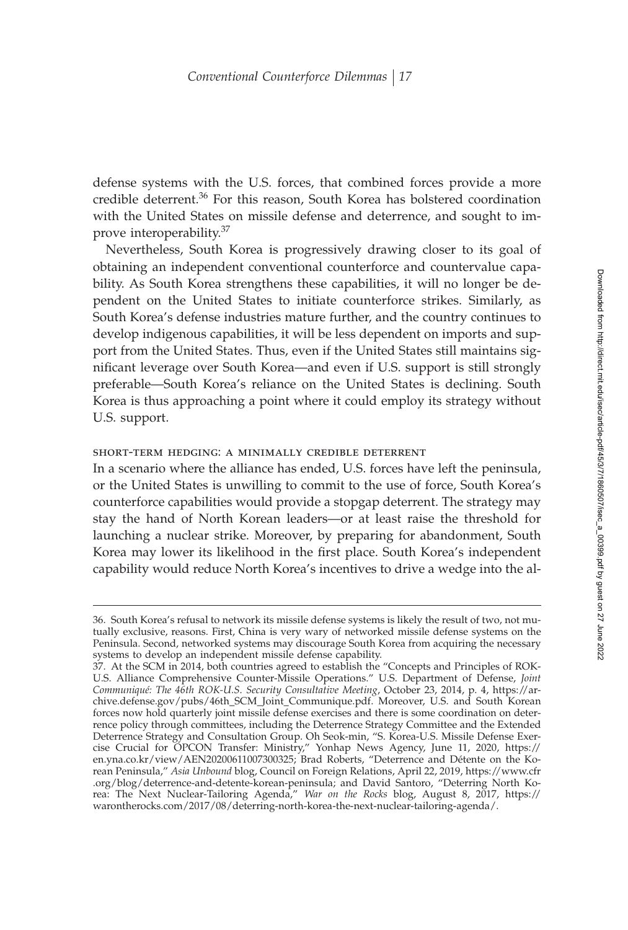defense systems with the U.S. forces, that combined forces provide a more credible deterrent.<sup>36</sup> For this reason, South Korea has bolstered coordination with the United States on missile defense and deterrence, and sought to improve interoperability.<sup>37</sup>

Nevertheless, South Korea is progressively drawing closer to its goal of obtaining an independent conventional counterforce and countervalue capability. As South Korea strengthens these capabilities, it will no longer be dependent on the United States to initiate counterforce strikes. Similarly, as South Korea's defense industries mature further, and the country continues to develop indigenous capabilities, it will be less dependent on imports and support from the United States. Thus, even if the United States still maintains significant leverage over South Korea—and even if U.S. support is still strongly preferable—South Korea's reliance on the United States is declining. South Korea is thus approaching a point where it could employ its strategy without U.S. support.

#### short-term hedging: a minimally credible deterrent

In a scenario where the alliance has ended, U.S. forces have left the peninsula, or the United States is unwilling to commit to the use of force, South Korea's counterforce capabilities would provide a stopgap deterrent. The strategy may stay the hand of North Korean leaders—or at least raise the threshold for launching a nuclear strike. Moreover, by preparing for abandonment, South Korea may lower its likelihood in the first place. South Korea's independent capability would reduce North Korea's incentives to drive a wedge into the al-

<sup>36.</sup> South Korea's refusal to network its missile defense systems is likely the result of two, not mutually exclusive, reasons. First, China is very wary of networked missile defense systems on the Peninsula. Second, networked systems may discourage South Korea from acquiring the necessary systems to develop an independent missile defense capability.

<sup>37.</sup> At the SCM in 2014, both countries agreed to establish the "Concepts and Principles of ROK-U.S. Alliance Comprehensive Counter-Missile Operations." U.S. Department of Defense, *Joint Communiqué: The 46th ROK-U.S. Security Consultative Meeting*, October 23, 2014, p. 4, https://archive.defense.gov/pubs/46th\_SCM\_Joint\_Communique.pdf. Moreover, U.S. and South Korean forces now hold quarterly joint missile defense exercises and there is some coordination on deterrence policy through committees, including the Deterrence Strategy Committee and the Extended Deterrence Strategy and Consultation Group. Oh Seok-min, "S. Korea-U.S. Missile Defense Exercise Crucial for OPCON Transfer: Ministry," Yonhap News Agency, June 11, 2020, https:// en.yna.co.kr/view/AEN20200611007300325; Brad Roberts, "Deterrence and Détente on the Korean Peninsula," *Asia Unbound* blog, Council on Foreign Relations, April 22, 2019, https://www.cfr .org/blog/deterrence-and-detente-korean-peninsula; and David Santoro, "Deterring North Korea: The Next Nuclear-Tailoring Agenda," *War on the Rocks* blog, August 8, 2017, https:// warontherocks.com/2017/08/deterring-north-korea-the-next-nuclear-tailoring-agenda/.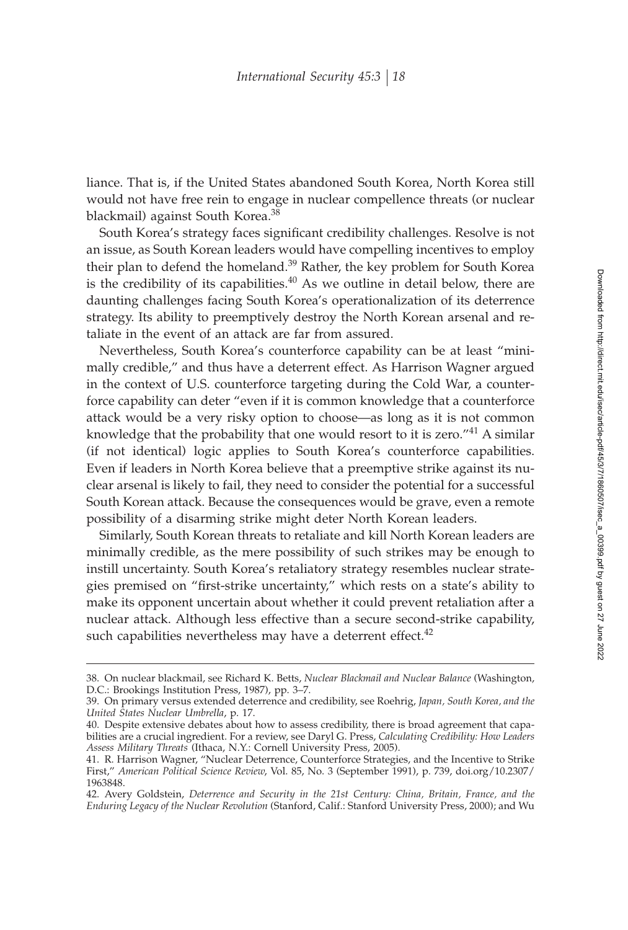liance. That is, if the United States abandoned South Korea, North Korea still would not have free rein to engage in nuclear compellence threats (or nuclear blackmail) against South Korea.<sup>38</sup>

South Korea's strategy faces significant credibility challenges. Resolve is not an issue, as South Korean leaders would have compelling incentives to employ their plan to defend the homeland.<sup>39</sup> Rather, the key problem for South Korea is the credibility of its capabilities.<sup>40</sup> As we outline in detail below, there are daunting challenges facing South Korea's operationalization of its deterrence strategy. Its ability to preemptively destroy the North Korean arsenal and retaliate in the event of an attack are far from assured.

Nevertheless, South Korea's counterforce capability can be at least "minimally credible," and thus have a deterrent effect. As Harrison Wagner argued in the context of U.S. counterforce targeting during the Cold War, a counterforce capability can deter "even if it is common knowledge that a counterforce attack would be a very risky option to choose—as long as it is not common knowledge that the probability that one would resort to it is zero."<sup>41</sup> A similar (if not identical) logic applies to South Korea's counterforce capabilities. Even if leaders in North Korea believe that a preemptive strike against its nuclear arsenal is likely to fail, they need to consider the potential for a successful South Korean attack. Because the consequences would be grave, even a remote possibility of a disarming strike might deter North Korean leaders.

Similarly, South Korean threats to retaliate and kill North Korean leaders are minimally credible, as the mere possibility of such strikes may be enough to instill uncertainty. South Korea's retaliatory strategy resembles nuclear strategies premised on "first-strike uncertainty," which rests on a state's ability to make its opponent uncertain about whether it could prevent retaliation after a nuclear attack. Although less effective than a secure second-strike capability, such capabilities nevertheless may have a deterrent effect. $42$ 

<sup>38.</sup> On nuclear blackmail, see Richard K. Betts, *Nuclear Blackmail and Nuclear Balance* (Washington, D.C.: Brookings Institution Press, 1987), pp. 3–7.

<sup>39.</sup> On primary versus extended deterrence and credibility, see Roehrig, *Japan, South Korea, and the United States Nuclear Umbrella*, p. 17.

<sup>40.</sup> Despite extensive debates about how to assess credibility, there is broad agreement that capabilities are a crucial ingredient. For a review, see Daryl G. Press, *Calculating Credibility: How Leaders Assess Military Threats* (Ithaca, N.Y.: Cornell University Press, 2005).

<sup>41.</sup> R. Harrison Wagner, "Nuclear Deterrence, Counterforce Strategies, and the Incentive to Strike First," *American Political Science Review*, Vol. 85, No. 3 (September 1991), p. 739, doi.org/10.2307/ 1963848.

<sup>42.</sup> Avery Goldstein, *Deterrence and Security in the 21st Century: China, Britain, France, and the Enduring Legacy of the Nuclear Revolution* (Stanford, Calif.: Stanford University Press, 2000); and Wu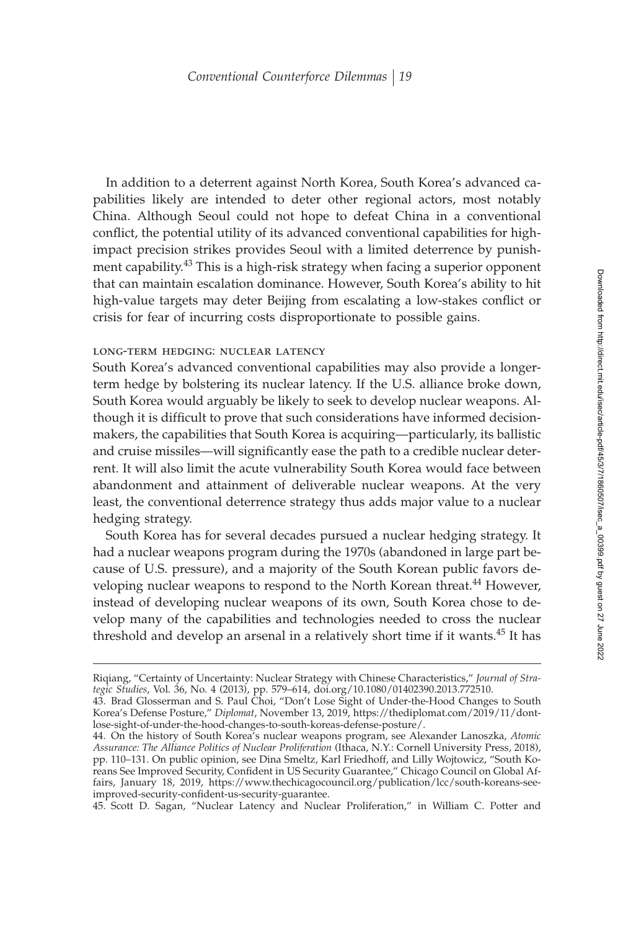In addition to a deterrent against North Korea, South Korea's advanced capabilities likely are intended to deter other regional actors, most notably China. Although Seoul could not hope to defeat China in a conventional conflict, the potential utility of its advanced conventional capabilities for highimpact precision strikes provides Seoul with a limited deterrence by punishment capability.<sup>43</sup> This is a high-risk strategy when facing a superior opponent that can maintain escalation dominance. However, South Korea's ability to hit high-value targets may deter Beijing from escalating a low-stakes conflict or crisis for fear of incurring costs disproportionate to possible gains.

#### long-term hedging: nuclear latency

South Korea's advanced conventional capabilities may also provide a longerterm hedge by bolstering its nuclear latency. If the U.S. alliance broke down, South Korea would arguably be likely to seek to develop nuclear weapons. Although it is difficult to prove that such considerations have informed decisionmakers, the capabilities that South Korea is acquiring—particularly, its ballistic and cruise missiles—will significantly ease the path to a credible nuclear deterrent. It will also limit the acute vulnerability South Korea would face between abandonment and attainment of deliverable nuclear weapons. At the very least, the conventional deterrence strategy thus adds major value to a nuclear hedging strategy.

South Korea has for several decades pursued a nuclear hedging strategy. It had a nuclear weapons program during the 1970s (abandoned in large part because of U.S. pressure), and a majority of the South Korean public favors developing nuclear weapons to respond to the North Korean threat.<sup>44</sup> However, instead of developing nuclear weapons of its own, South Korea chose to develop many of the capabilities and technologies needed to cross the nuclear threshold and develop an arsenal in a relatively short time if it wants.<sup>45</sup> It has

45. Scott D. Sagan, "Nuclear Latency and Nuclear Proliferation," in William C. Potter and

Riqiang, "Certainty of Uncertainty: Nuclear Strategy with Chinese Characteristics," *Journal of Strategic Studies*, Vol. 36, No. 4 (2013), pp. 579–614, doi.org/10.1080/01402390.2013.772510.

<sup>43.</sup> Brad Glosserman and S. Paul Choi, "Don't Lose Sight of Under-the-Hood Changes to South Korea's Defense Posture," *Diplomat*, November 13, 2019, https://thediplomat.com/2019/11/dontlose-sight-of-under-the-hood-changes-to-south-koreas-defense-posture/.

<sup>44.</sup> On the history of South Korea's nuclear weapons program, see Alexander Lanoszka, *Atomic Assurance: The Alliance Politics of Nuclear Proliferation* (Ithaca, N.Y.: Cornell University Press, 2018), pp. 110–131. On public opinion, see Dina Smeltz, Karl Friedhoff, and Lilly Wojtowicz, "South Koreans See Improved Security, Confident in US Security Guarantee," Chicago Council on Global Affairs, January 18, 2019, https://www.thechicagocouncil.org/publication/lcc/south-koreans-seeimproved-security-confident-us-security-guarantee.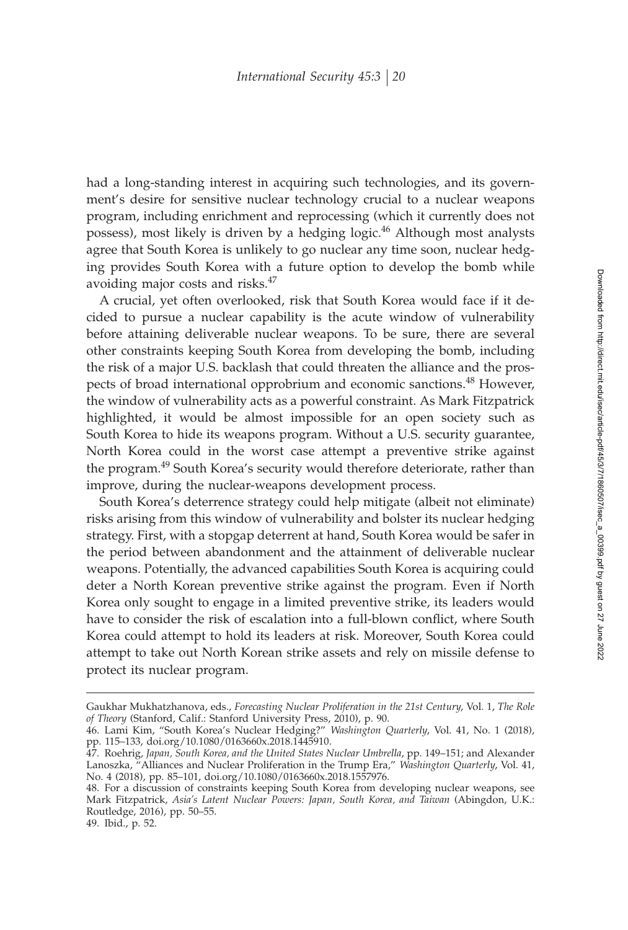had a long-standing interest in acquiring such technologies, and its government's desire for sensitive nuclear technology crucial to a nuclear weapons program, including enrichment and reprocessing (which it currently does not possess), most likely is driven by a hedging logic.<sup>46</sup> Although most analysts agree that South Korea is unlikely to go nuclear any time soon, nuclear hedging provides South Korea with a future option to develop the bomb while avoiding major costs and risks.<sup>47</sup>

A crucial, yet often overlooked, risk that South Korea would face if it decided to pursue a nuclear capability is the acute window of vulnerability before attaining deliverable nuclear weapons. To be sure, there are several other constraints keeping South Korea from developing the bomb, including the risk of a major U.S. backlash that could threaten the alliance and the prospects of broad international opprobrium and economic sanctions.<sup>48</sup> However, the window of vulnerability acts as a powerful constraint. As Mark Fitzpatrick highlighted, it would be almost impossible for an open society such as South Korea to hide its weapons program. Without a U.S. security guarantee, North Korea could in the worst case attempt a preventive strike against the program.<sup>49</sup> South Korea's security would therefore deteriorate, rather than improve, during the nuclear-weapons development process.

South Korea's deterrence strategy could help mitigate (albeit not eliminate) risks arising from this window of vulnerability and bolster its nuclear hedging strategy. First, with a stopgap deterrent at hand, South Korea would be safer in the period between abandonment and the attainment of deliverable nuclear weapons. Potentially, the advanced capabilities South Korea is acquiring could deter a North Korean preventive strike against the program. Even if North Korea only sought to engage in a limited preventive strike, its leaders would have to consider the risk of escalation into a full-blown conflict, where South Korea could attempt to hold its leaders at risk. Moreover, South Korea could attempt to take out North Korean strike assets and rely on missile defense to protect its nuclear program.

49. Ibid., p. 52.

Gaukhar Mukhatzhanova, eds., *Forecasting Nuclear Proliferation in the 21st Century*, Vol. 1, *The Role of Theory* (Stanford, Calif.: Stanford University Press, 2010), p. 90.

<sup>46.</sup> Lami Kim, "South Korea's Nuclear Hedging?" *Washington Quarterly*, Vol. 41, No. 1 (2018), pp. 115–133, doi.org/10.1080/0163660x.2018.1445910.

<sup>47.</sup> Roehrig, *Japan, South Korea, and the United States Nuclear Umbrella*, pp. 149–151; and Alexander Lanoszka, "Alliances and Nuclear Proliferation in the Trump Era," *Washington Quarterly*, Vol. 41, No. 4 (2018), pp. 85–101, doi.org/10.1080/0163660x.2018.1557976.

<sup>48.</sup> For a discussion of constraints keeping South Korea from developing nuclear weapons, see Mark Fitzpatrick, *Asia's Latent Nuclear Powers: Japan, South Korea, and Taiwan* (Abingdon, U.K.: Routledge, 2016), pp. 50–55.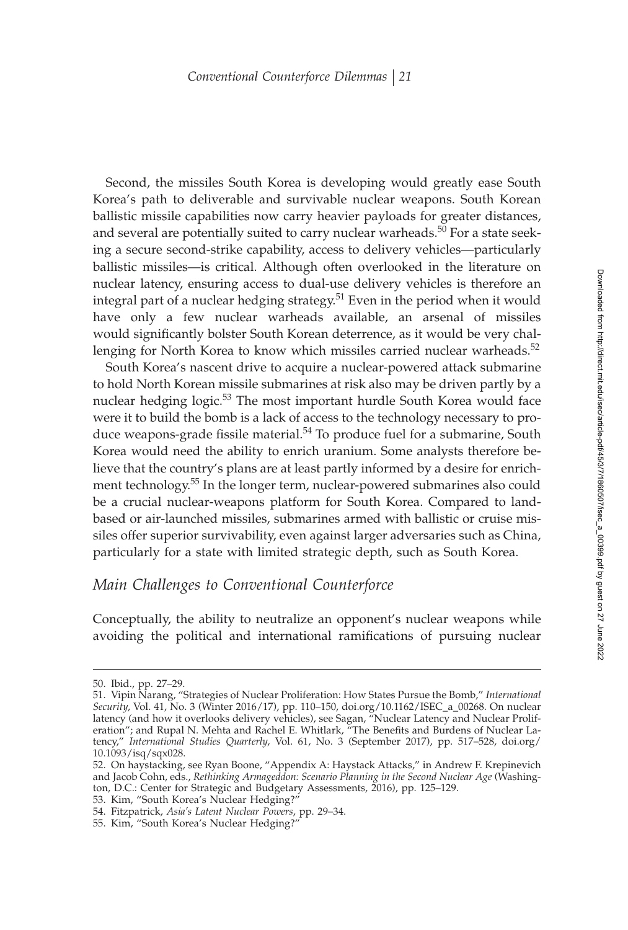Second, the missiles South Korea is developing would greatly ease South Korea's path to deliverable and survivable nuclear weapons. South Korean ballistic missile capabilities now carry heavier payloads for greater distances, and several are potentially suited to carry nuclear warheads.<sup>50</sup> For a state seeking a secure second-strike capability, access to delivery vehicles—particularly ballistic missiles—is critical. Although often overlooked in the literature on nuclear latency, ensuring access to dual-use delivery vehicles is therefore an integral part of a nuclear hedging strategy.<sup>51</sup> Even in the period when it would have only a few nuclear warheads available, an arsenal of missiles would significantly bolster South Korean deterrence, as it would be very challenging for North Korea to know which missiles carried nuclear warheads.<sup>52</sup>

South Korea's nascent drive to acquire a nuclear-powered attack submarine to hold North Korean missile submarines at risk also may be driven partly by a nuclear hedging logic.<sup>53</sup> The most important hurdle South Korea would face were it to build the bomb is a lack of access to the technology necessary to produce weapons-grade fissile material. $54$  To produce fuel for a submarine, South Korea would need the ability to enrich uranium. Some analysts therefore believe that the country's plans are at least partly informed by a desire for enrichment technology.<sup>55</sup> In the longer term, nuclear-powered submarines also could be a crucial nuclear-weapons platform for South Korea. Compared to landbased or air-launched missiles, submarines armed with ballistic or cruise missiles offer superior survivability, even against larger adversaries such as China, particularly for a state with limited strategic depth, such as South Korea.

## *Main Challenges to Conventional Counterforce*

Conceptually, the ability to neutralize an opponent's nuclear weapons while avoiding the political and international ramifications of pursuing nuclear

55. Kim, "South Korea's Nuclear Hedging?

<sup>50.</sup> Ibid., pp. 27–29.

<sup>51.</sup> Vipin Narang, "Strategies of Nuclear Proliferation: How States Pursue the Bomb," *International Security*, Vol. 41, No. 3 (Winter 2016/17), pp. 110–150, doi.org/10.1162/ISEC\_a\_00268. On nuclear latency (and how it overlooks delivery vehicles), see Sagan, "Nuclear Latency and Nuclear Proliferation"; and Rupal N. Mehta and Rachel E. Whitlark, "The Benefits and Burdens of Nuclear Latency," *International Studies Quarterly*, Vol. 61, No. 3 (September 2017), pp. 517–528, doi.org/ 10.1093/isq/sqx028.

<sup>52.</sup> On haystacking, see Ryan Boone, "Appendix A: Haystack Attacks," in Andrew F. Krepinevich and Jacob Cohn, eds., *Rethinking Armageddon: Scenario Planning in the Second Nuclear Age* (Washington, D.C.: Center for Strategic and Budgetary Assessments, 2016), pp. 125–129.

<sup>53.</sup> Kim, "South Korea's Nuclear Hedging?"

<sup>54.</sup> Fitzpatrick, *Asia's Latent Nuclear Powers*, pp. 29–34.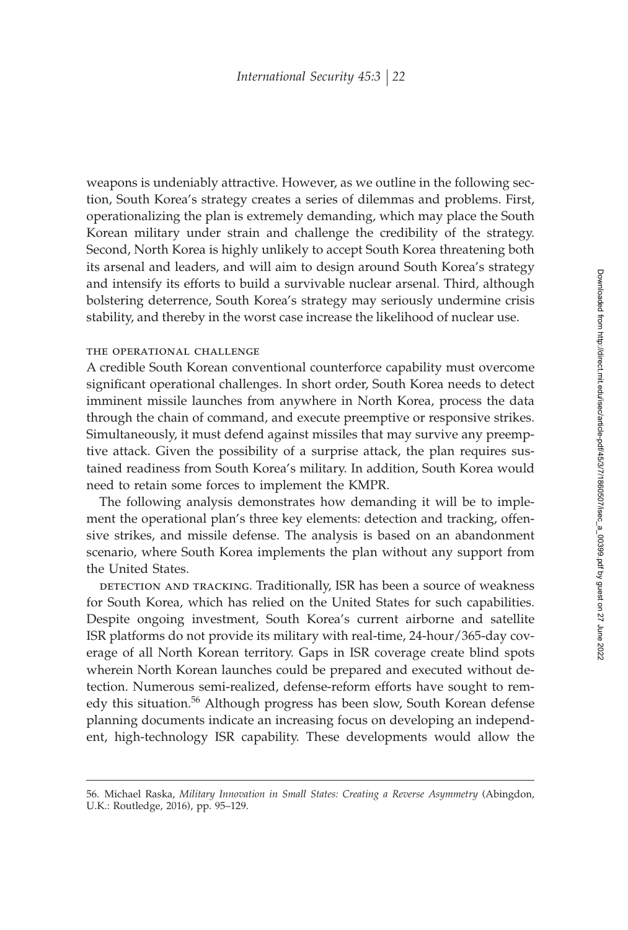weapons is undeniably attractive. However, as we outline in the following section, South Korea's strategy creates a series of dilemmas and problems. First, operationalizing the plan is extremely demanding, which may place the South Korean military under strain and challenge the credibility of the strategy. Second, North Korea is highly unlikely to accept South Korea threatening both its arsenal and leaders, and will aim to design around South Korea's strategy and intensify its efforts to build a survivable nuclear arsenal. Third, although bolstering deterrence, South Korea's strategy may seriously undermine crisis stability, and thereby in the worst case increase the likelihood of nuclear use.

### the operational challenge

A credible South Korean conventional counterforce capability must overcome significant operational challenges. In short order, South Korea needs to detect imminent missile launches from anywhere in North Korea, process the data through the chain of command, and execute preemptive or responsive strikes. Simultaneously, it must defend against missiles that may survive any preemptive attack. Given the possibility of a surprise attack, the plan requires sustained readiness from South Korea's military. In addition, South Korea would need to retain some forces to implement the KMPR.

The following analysis demonstrates how demanding it will be to implement the operational plan's three key elements: detection and tracking, offensive strikes, and missile defense. The analysis is based on an abandonment scenario, where South Korea implements the plan without any support from the United States.

detection and tracking. Traditionally, ISR has been a source of weakness for South Korea, which has relied on the United States for such capabilities. Despite ongoing investment, South Korea's current airborne and satellite ISR platforms do not provide its military with real-time, 24-hour/365-day coverage of all North Korean territory. Gaps in ISR coverage create blind spots wherein North Korean launches could be prepared and executed without detection. Numerous semi-realized, defense-reform efforts have sought to remedy this situation.<sup>56</sup> Although progress has been slow, South Korean defense planning documents indicate an increasing focus on developing an independent, high-technology ISR capability. These developments would allow the

<sup>56.</sup> Michael Raska, *Military Innovation in Small States: Creating a Reverse Asymmetry* (Abingdon, U.K.: Routledge, 2016), pp. 95–129.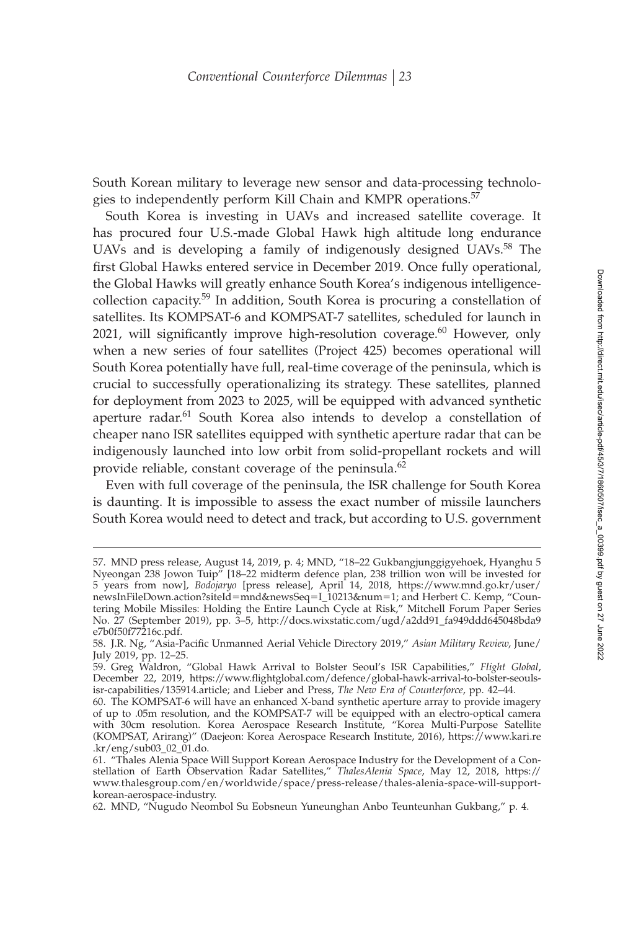South Korean military to leverage new sensor and data-processing technologies to independently perform Kill Chain and KMPR operations.<sup>57</sup>

South Korea is investing in UAVs and increased satellite coverage. It has procured four U.S.-made Global Hawk high altitude long endurance UAVs and is developing a family of indigenously designed UAVs.<sup>58</sup> The first Global Hawks entered service in December 2019. Once fully operational, the Global Hawks will greatly enhance South Korea's indigenous intelligencecollection capacity.<sup>59</sup> In addition, South Korea is procuring a constellation of satellites. Its KOMPSAT-6 and KOMPSAT-7 satellites, scheduled for launch in 2021, will significantly improve high-resolution coverage. $60$  However, only when a new series of four satellites (Project 425) becomes operational will South Korea potentially have full, real-time coverage of the peninsula, which is crucial to successfully operationalizing its strategy. These satellites, planned for deployment from 2023 to 2025, will be equipped with advanced synthetic aperture radar.<sup>61</sup> South Korea also intends to develop a constellation of cheaper nano ISR satellites equipped with synthetic aperture radar that can be indigenously launched into low orbit from solid-propellant rockets and will provide reliable, constant coverage of the peninsula.<sup>62</sup>

Even with full coverage of the peninsula, the ISR challenge for South Korea is daunting. It is impossible to assess the exact number of missile launchers South Korea would need to detect and track, but according to U.S. government

<sup>57.</sup> MND press release, August 14, 2019, p. 4; MND, "18–22 Gukbangjunggigyehoek, Hyanghu 5 Nyeongan 238 Jowon Tuip" [18–22 midterm defence plan, 238 trillion won will be invested for 5 years from now], *Bodojaryo* [press release], April 14, 2018, https://www.mnd.go.kr/user/ newsInFileDown.action?siteId=mnd&newsSeq=I\_10213&num=1; and Herbert C. Kemp, "Countering Mobile Missiles: Holding the Entire Launch Cycle at Risk," Mitchell Forum Paper Series No. 27 (September 2019), pp. 3–5, http://docs.wixstatic.com/ugd/a2dd91\_fa949ddd645048bda9 e7b0f50f77216c.pdf.

<sup>58.</sup> J.R. Ng, "Asia-Pacific Unmanned Aerial Vehicle Directory 2019," Asian Military Review, June/ July 2019, pp. 12–25.

<sup>59.</sup> Greg Waldron, "Global Hawk Arrival to Bolster Seoul's ISR Capabilities," *Flight Global*, December 22, 2019, https://www.flightglobal.com/defence/global-hawk-arrival-to-bolster-seoulsisr-capabilities/135914.article; and Lieber and Press, *The New Era of Counterforce*, pp. 42–44.

<sup>60.</sup> The KOMPSAT-6 will have an enhanced X-band synthetic aperture array to provide imagery of up to .05m resolution, and the KOMPSAT-7 will be equipped with an electro-optical camera with 30cm resolution. Korea Aerospace Research Institute, "Korea Multi-Purpose Satellite (KOMPSAT, Arirang)" (Daejeon: Korea Aerospace Research Institute, 2016), https://www.kari.re .kr/eng/sub03\_02\_01.do.

<sup>61. &</sup>quot;Thales Alenia Space Will Support Korean Aerospace Industry for the Development of a Constellation of Earth Observation Radar Satellites," *ThalesAlenia Space*, May 12, 2018, https:// www.thalesgroup.com/en/worldwide/space/press-release/thales-alenia-space-will-supportkorean-aerospace-industry.

<sup>62.</sup> MND, "Nugudo Neombol Su Eobsneun Yuneunghan Anbo Teunteunhan Gukbang," p. 4.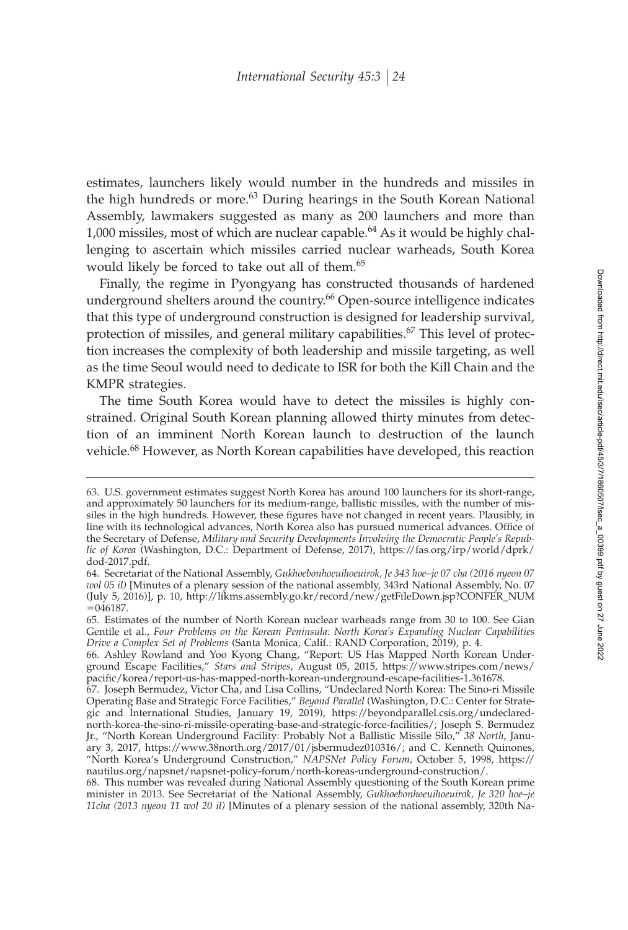estimates, launchers likely would number in the hundreds and missiles in the high hundreds or more.<sup>63</sup> During hearings in the South Korean National Assembly, lawmakers suggested as many as 200 launchers and more than 1,000 missiles, most of which are nuclear capable.<sup>64</sup> As it would be highly challenging to ascertain which missiles carried nuclear warheads, South Korea would likely be forced to take out all of them.<sup>65</sup>

Finally, the regime in Pyongyang has constructed thousands of hardened underground shelters around the country.<sup>66</sup> Open-source intelligence indicates that this type of underground construction is designed for leadership survival, protection of missiles, and general military capabilities.<sup>67</sup> This level of protection increases the complexity of both leadership and missile targeting, as well as the time Seoul would need to dedicate to ISR for both the Kill Chain and the KMPR strategies.

The time South Korea would have to detect the missiles is highly constrained. Original South Korean planning allowed thirty minutes from detection of an imminent North Korean launch to destruction of the launch vehicle.<sup>68</sup> However, as North Korean capabilities have developed, this reaction

<sup>63.</sup> U.S. government estimates suggest North Korea has around 100 launchers for its short-range, and approximately 50 launchers for its medium-range, ballistic missiles, with the number of missiles in the high hundreds. However, these figures have not changed in recent years. Plausibly, in line with its technological advances, North Korea also has pursued numerical advances. Office of the Secretary of Defense, *Military and Security Developments Involving the Democratic People's Republic of Korea* (Washington, D.C.: Department of Defense, 2017), https://fas.org/irp/world/dprk/ dod-2017.pdf.

<sup>64.</sup> Secretariat of the National Assembly, *Gukhoebonhoeuihoeuirok, Je 343 hoe–je 07 cha (2016 nyeon 07 wol 05 il)* [Minutes of a plenary session of the national assembly, 343rd National Assembly, No. 07 (July 5, 2016)], p. 10, http://likms.assembly.go.kr/record/new/getFileDown.jsp?CONFER\_NUM  $= 046187.$ 

<sup>65.</sup> Estimates of the number of North Korean nuclear warheads range from 30 to 100. See Gian Gentile et al., *Four Problems on the Korean Peninsula: North Korea's Expanding Nuclear Capabilities Drive a Complex Set of Problems* (Santa Monica, Calif.: RAND Corporation, 2019), p. 4.

<sup>66.</sup> Ashley Rowland and Yoo Kyong Chang, "Report: US Has Mapped North Korean Underground Escape Facilities," *Stars and Stripes*, August 05, 2015, https://www.stripes.com/news/ pacific/korea/report-us-has-mapped-north-korean-underground-escape-facilities-1.361678.

<sup>67.</sup> Joseph Bermudez, Victor Cha, and Lisa Collins, "Undeclared North Korea: The Sino-ri Missile Operating Base and Strategic Force Facilities," *Beyond Parallel* (Washington, D.C.: Center for Strategic and International Studies, January 19, 2019), https://beyondparallel.csis.org/undeclarednorth-korea-the-sino-ri-missile-operating-base-and-strategic-force-facilities/; Joseph S. Bermudez Jr., "North Korean Underground Facility: Probably Not a Ballistic Missile Silo," *38 North*, January 3, 2017, https://www.38north.org/2017/01/jsbermudez010316/; and C. Kenneth Quinones, "North Korea's Underground Construction," *NAPSNet Policy Forum*, October 5, 1998, https:// nautilus.org/napsnet/napsnet-policy-forum/north-koreas-underground-construction/.

<sup>68.</sup> This number was revealed during National Assembly questioning of the South Korean prime minister in 2013. See Secretariat of the National Assembly, *Gukhoebonhoeuihoeuirok, Je 320 hoe–je 11cha (2013 nyeon 11 wol 20 il)* [Minutes of a plenary session of the national assembly, 320th Na-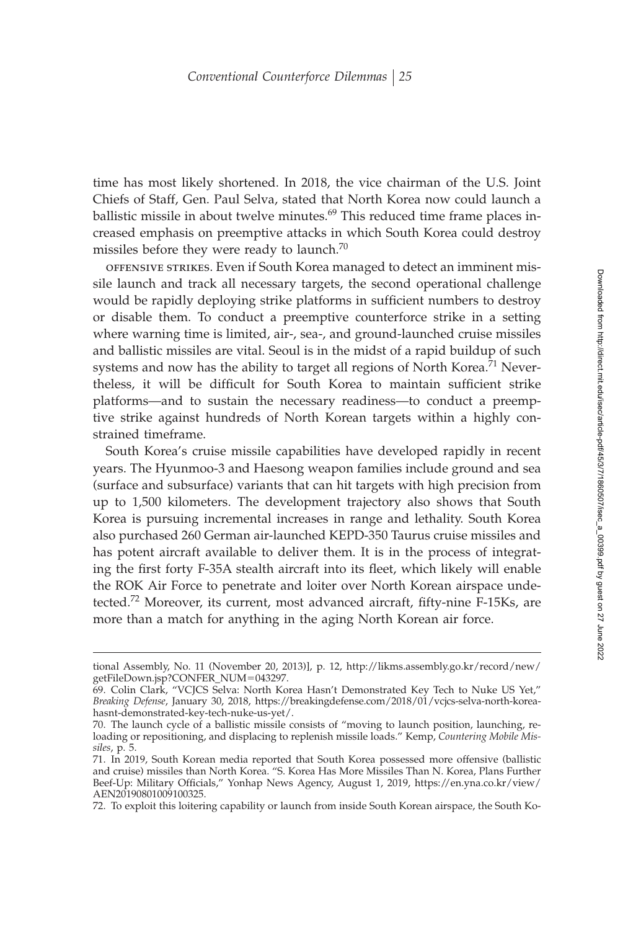time has most likely shortened. In 2018, the vice chairman of the U.S. Joint Chiefs of Staff, Gen. Paul Selva, stated that North Korea now could launch a ballistic missile in about twelve minutes.<sup>69</sup> This reduced time frame places increased emphasis on preemptive attacks in which South Korea could destroy missiles before they were ready to launch. $70$ 

offensive strikes. Even if South Korea managed to detect an imminent missile launch and track all necessary targets, the second operational challenge would be rapidly deploying strike platforms in sufficient numbers to destroy or disable them. To conduct a preemptive counterforce strike in a setting where warning time is limited, air-, sea-, and ground-launched cruise missiles and ballistic missiles are vital. Seoul is in the midst of a rapid buildup of such systems and now has the ability to target all regions of North Korea.<sup>71</sup> Nevertheless, it will be difficult for South Korea to maintain sufficient strike platforms—and to sustain the necessary readiness—to conduct a preemptive strike against hundreds of North Korean targets within a highly constrained timeframe.

South Korea's cruise missile capabilities have developed rapidly in recent years. The Hyunmoo-3 and Haesong weapon families include ground and sea (surface and subsurface) variants that can hit targets with high precision from up to 1,500 kilometers. The development trajectory also shows that South Korea is pursuing incremental increases in range and lethality. South Korea also purchased 260 German air-launched KEPD-350 Taurus cruise missiles and has potent aircraft available to deliver them. It is in the process of integrating the first forty F-35A stealth aircraft into its fleet, which likely will enable the ROK Air Force to penetrate and loiter over North Korean airspace undetected.<sup>72</sup> Moreover, its current, most advanced aircraft, fifty-nine F-15Ks, are more than a match for anything in the aging North Korean air force.

72. To exploit this loitering capability or launch from inside South Korean airspace, the South Ko-

tional Assembly, No. 11 (November 20, 2013)], p. 12, http://likms.assembly.go.kr/record/new/ getFileDown.jsp?CONFER\_NUM-043297.

<sup>69.</sup> Colin Clark, "VCJCS Selva: North Korea Hasn't Demonstrated Key Tech to Nuke US Yet," *Breaking Defense*, January 30, 2018, https://breakingdefense.com/2018/01/vcjcs-selva-north-koreahasnt-demonstrated-key-tech-nuke-us-yet/.

<sup>70.</sup> The launch cycle of a ballistic missile consists of "moving to launch position, launching, reloading or repositioning, and displacing to replenish missile loads." Kemp, *Countering Mobile Missiles*, p. 5.

<sup>71.</sup> In 2019, South Korean media reported that South Korea possessed more offensive (ballistic and cruise) missiles than North Korea. "S. Korea Has More Missiles Than N. Korea, Plans Further Beef-Up: Military Officials," Yonhap News Agency, August 1, 2019, https://en.yna.co.kr/view/ AEN20190801009100325.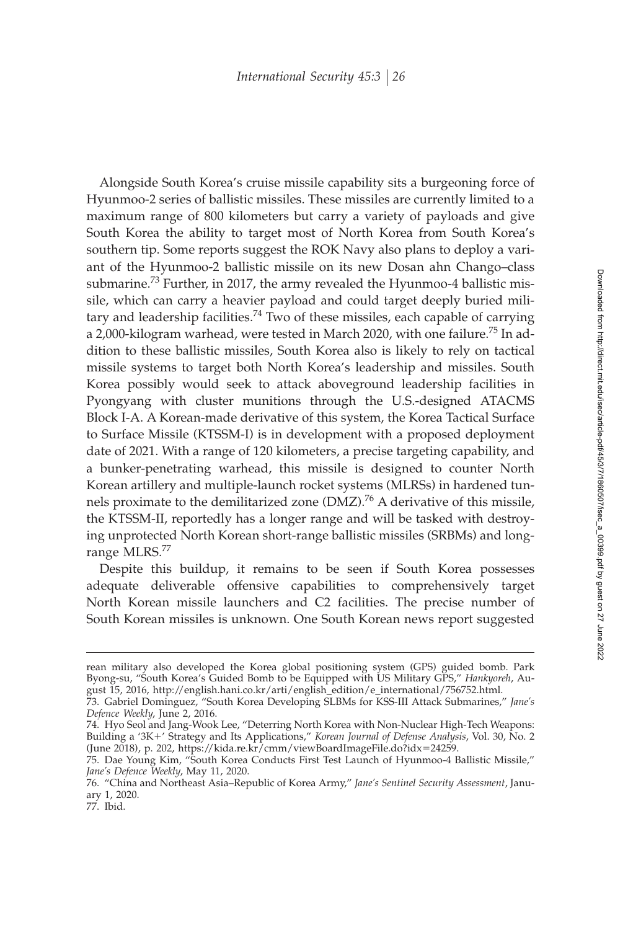Alongside South Korea's cruise missile capability sits a burgeoning force of Hyunmoo-2 series of ballistic missiles. These missiles are currently limited to a maximum range of 800 kilometers but carry a variety of payloads and give South Korea the ability to target most of North Korea from South Korea's southern tip. Some reports suggest the ROK Navy also plans to deploy a variant of the Hyunmoo-2 ballistic missile on its new Dosan ahn Chango–class submarine.<sup>73</sup> Further, in 2017, the army revealed the Hyunmoo-4 ballistic missile, which can carry a heavier payload and could target deeply buried military and leadership facilities.<sup>74</sup> Two of these missiles, each capable of carrying a 2,000-kilogram warhead, were tested in March 2020, with one failure.<sup>75</sup> In addition to these ballistic missiles, South Korea also is likely to rely on tactical missile systems to target both North Korea's leadership and missiles. South Korea possibly would seek to attack aboveground leadership facilities in Pyongyang with cluster munitions through the U.S.-designed ATACMS Block I-A. A Korean-made derivative of this system, the Korea Tactical Surface to Surface Missile (KTSSM-I) is in development with a proposed deployment date of 2021. With a range of 120 kilometers, a precise targeting capability, and a bunker-penetrating warhead, this missile is designed to counter North Korean artillery and multiple-launch rocket systems (MLRSs) in hardened tunnels proximate to the demilitarized zone  $(DMZ)$ <sup>76</sup> A derivative of this missile, the KTSSM-II, reportedly has a longer range and will be tasked with destroying unprotected North Korean short-range ballistic missiles (SRBMs) and longrange MLRS.<sup>77</sup>

Despite this buildup, it remains to be seen if South Korea possesses adequate deliverable offensive capabilities to comprehensively target North Korean missile launchers and C2 facilities. The precise number of South Korean missiles is unknown. One South Korean news report suggested

rean military also developed the Korea global positioning system (GPS) guided bomb. Park Byong-su, "South Korea's Guided Bomb to be Equipped with US Military GPS," *Hankyoreh*, August 15, 2016, http://english.hani.co.kr/arti/english\_edition/e\_international/756752.html.

<sup>73.</sup> Gabriel Dominguez, "South Korea Developing SLBMs for KSS-III Attack Submarines," *Jane's Defence Weekly*, June 2, 2016.

<sup>74.</sup> Hyo Seol and Jang-Wook Lee, "Deterring North Korea with Non-Nuclear High-Tech Weapons: Building a '3K+' Strategy and Its Applications," *Korean Journal of Defense Analysis*, Vol. 30, No. 2 (June 2018), p. 202, https://kida.re.kr/cmm/viewBoardImageFile.do?idx-24259.

<sup>75.</sup> Dae Young Kim, "South Korea Conducts First Test Launch of Hyunmoo-4 Ballistic Missile," *Jane's Defence Weekly*, May 11, 2020.

<sup>76. &</sup>quot;China and Northeast Asia–Republic of Korea Army," *Jane's Sentinel Security Assessment*, January 1, 2020.

<sup>77.</sup> Ibid.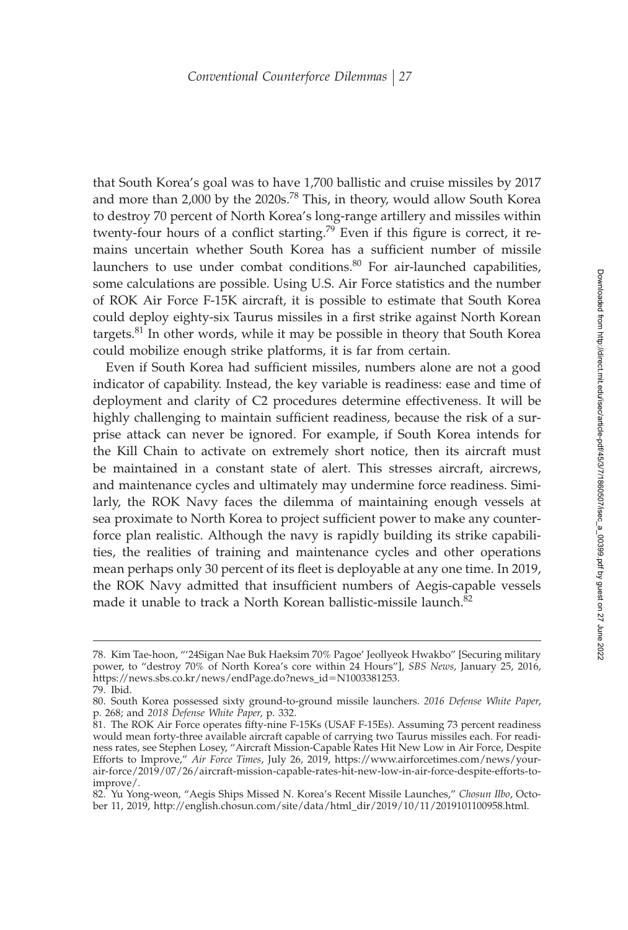that South Korea's goal was to have 1,700 ballistic and cruise missiles by 2017 and more than 2,000 by the 2020s.<sup>78</sup> This, in theory, would allow South Korea to destroy 70 percent of North Korea's long-range artillery and missiles within twenty-four hours of a conflict starting.<sup>79</sup> Even if this figure is correct, it remains uncertain whether South Korea has a sufficient number of missile launchers to use under combat conditions.<sup>80</sup> For air-launched capabilities, some calculations are possible. Using U.S. Air Force statistics and the number of ROK Air Force F-15K aircraft, it is possible to estimate that South Korea could deploy eighty-six Taurus missiles in a first strike against North Korean targets.<sup>81</sup> In other words, while it may be possible in theory that South Korea could mobilize enough strike platforms, it is far from certain.

Even if South Korea had sufficient missiles, numbers alone are not a good indicator of capability. Instead, the key variable is readiness: ease and time of deployment and clarity of C2 procedures determine effectiveness. It will be highly challenging to maintain sufficient readiness, because the risk of a surprise attack can never be ignored. For example, if South Korea intends for the Kill Chain to activate on extremely short notice, then its aircraft must be maintained in a constant state of alert. This stresses aircraft, aircrews, and maintenance cycles and ultimately may undermine force readiness. Similarly, the ROK Navy faces the dilemma of maintaining enough vessels at sea proximate to North Korea to project sufficient power to make any counterforce plan realistic. Although the navy is rapidly building its strike capabilities, the realities of training and maintenance cycles and other operations mean perhaps only 30 percent of its fleet is deployable at any one time. In 2019, the ROK Navy admitted that insufficient numbers of Aegis-capable vessels made it unable to track a North Korean ballistic-missile launch.<sup>82</sup>

<sup>78.</sup> Kim Tae-hoon, "'24Sigan Nae Buk Haeksim 70% Pagoe' Jeollyeok Hwakbo" [Securing military power, to "destroy 70% of North Korea's core within 24 Hours"], *SBS News*, January 25, 2016, https://news.sbs.co.kr/news/endPage.do?news\_id-N1003381253. 79. Ibid.

<sup>80.</sup> South Korea possessed sixty ground-to-ground missile launchers. *2016 Defense White Paper*, p. 268; and *2018 Defense White Paper*, p. 332.

<sup>81.</sup> The ROK Air Force operates fifty-nine F-15Ks (USAF F-15Es). Assuming 73 percent readiness would mean forty-three available aircraft capable of carrying two Taurus missiles each. For readiness rates, see Stephen Losey, "Aircraft Mission-Capable Rates Hit New Low in Air Force, Despite Efforts to Improve," *Air Force Times*, July 26, 2019, https://www.airforcetimes.com/news/yourair-force/2019/07/26/aircraft-mission-capable-rates-hit-new-low-in-air-force-despite-efforts-toimprove/.

<sup>82.</sup> Yu Yong-weon, "Aegis Ships Missed N. Korea's Recent Missile Launches," *Chosun Ilbo*, October 11, 2019, http://english.chosun.com/site/data/html\_dir/2019/10/11/2019101100958.html.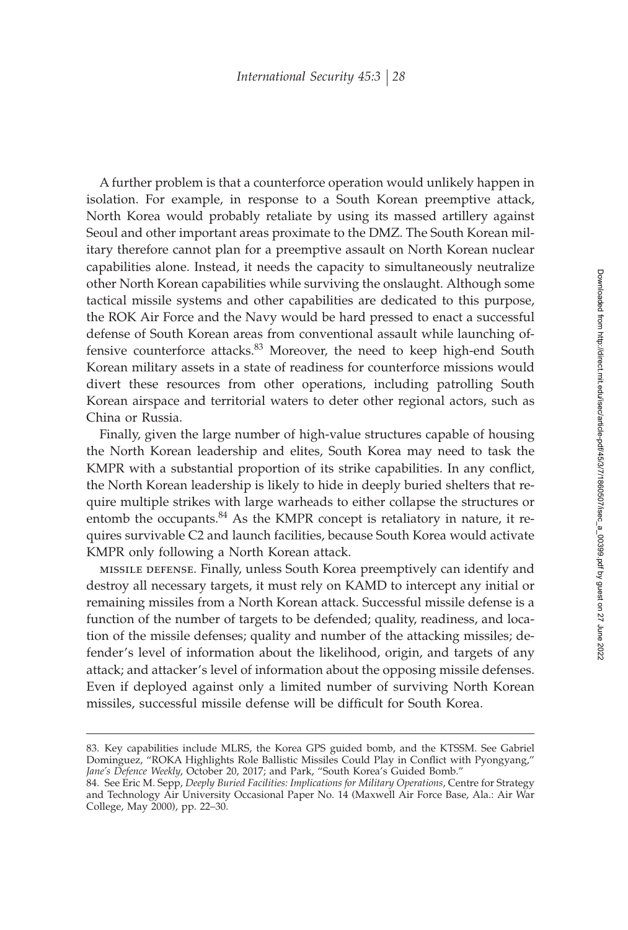A further problem is that a counterforce operation would unlikely happen in isolation. For example, in response to a South Korean preemptive attack, North Korea would probably retaliate by using its massed artillery against Seoul and other important areas proximate to the DMZ. The South Korean military therefore cannot plan for a preemptive assault on North Korean nuclear capabilities alone. Instead, it needs the capacity to simultaneously neutralize other North Korean capabilities while surviving the onslaught. Although some tactical missile systems and other capabilities are dedicated to this purpose, the ROK Air Force and the Navy would be hard pressed to enact a successful defense of South Korean areas from conventional assault while launching offensive counterforce attacks.<sup>83</sup> Moreover, the need to keep high-end South Korean military assets in a state of readiness for counterforce missions would divert these resources from other operations, including patrolling South Korean airspace and territorial waters to deter other regional actors, such as China or Russia.

Finally, given the large number of high-value structures capable of housing the North Korean leadership and elites, South Korea may need to task the KMPR with a substantial proportion of its strike capabilities. In any conflict, the North Korean leadership is likely to hide in deeply buried shelters that require multiple strikes with large warheads to either collapse the structures or entomb the occupants. $84$  As the KMPR concept is retaliatory in nature, it requires survivable C2 and launch facilities, because South Korea would activate KMPR only following a North Korean attack.

missile defense. Finally, unless South Korea preemptively can identify and destroy all necessary targets, it must rely on KAMD to intercept any initial or remaining missiles from a North Korean attack. Successful missile defense is a function of the number of targets to be defended; quality, readiness, and location of the missile defenses; quality and number of the attacking missiles; defender's level of information about the likelihood, origin, and targets of any attack; and attacker's level of information about the opposing missile defenses. Even if deployed against only a limited number of surviving North Korean missiles, successful missile defense will be difficult for South Korea.

<sup>83.</sup> Key capabilities include MLRS, the Korea GPS guided bomb, and the KTSSM. See Gabriel Dominguez, "ROKA Highlights Role Ballistic Missiles Could Play in Conflict with Pyongyang," *Jane's Defence Weekly*, October 20, 2017; and Park, "South Korea's Guided Bomb."

<sup>84.</sup> See Eric M. Sepp, *Deeply Buried Facilities: Implications for Military Operations*, Centre for Strategy and Technology Air University Occasional Paper No. 14 (Maxwell Air Force Base, Ala.: Air War College, May 2000), pp. 22–30.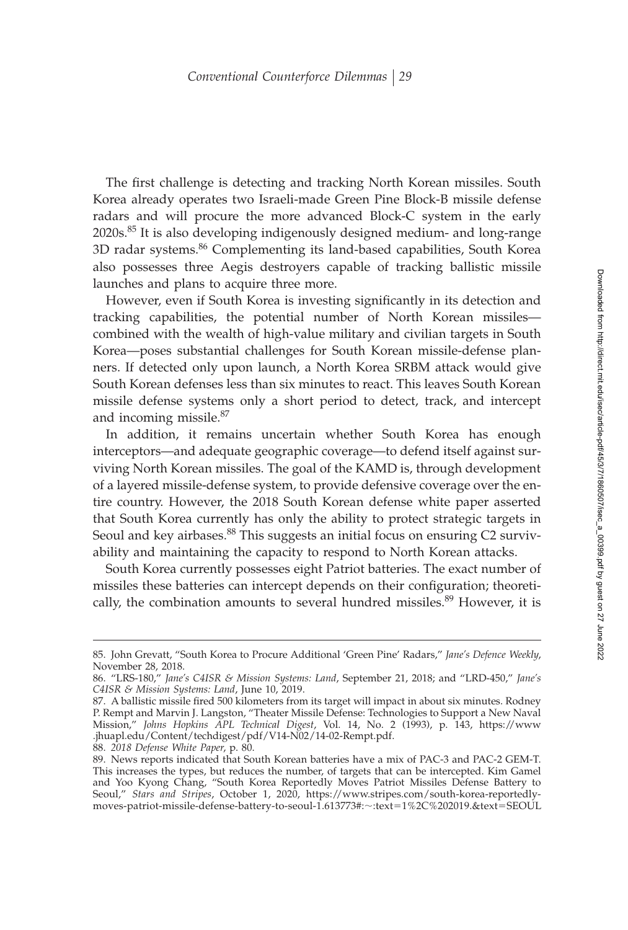The first challenge is detecting and tracking North Korean missiles. South Korea already operates two Israeli-made Green Pine Block-B missile defense radars and will procure the more advanced Block-C system in the early 2020s.<sup>85</sup> It is also developing indigenously designed medium- and long-range 3D radar systems.<sup>86</sup> Complementing its land-based capabilities, South Korea also possesses three Aegis destroyers capable of tracking ballistic missile launches and plans to acquire three more.

However, even if South Korea is investing significantly in its detection and tracking capabilities, the potential number of North Korean missiles combined with the wealth of high-value military and civilian targets in South Korea—poses substantial challenges for South Korean missile-defense planners. If detected only upon launch, a North Korea SRBM attack would give South Korean defenses less than six minutes to react. This leaves South Korean missile defense systems only a short period to detect, track, and intercept and incoming missile.<sup>87</sup>

In addition, it remains uncertain whether South Korea has enough interceptors—and adequate geographic coverage—to defend itself against surviving North Korean missiles. The goal of the KAMD is, through development of a layered missile-defense system, to provide defensive coverage over the entire country. However, the 2018 South Korean defense white paper asserted that South Korea currently has only the ability to protect strategic targets in Seoul and key airbases.<sup>88</sup> This suggests an initial focus on ensuring C2 survivability and maintaining the capacity to respond to North Korean attacks.

South Korea currently possesses eight Patriot batteries. The exact number of missiles these batteries can intercept depends on their configuration; theoretically, the combination amounts to several hundred missiles.<sup>89</sup> However, it is

<sup>85.</sup> John Grevatt, "South Korea to Procure Additional 'Green Pine' Radars," *Jane's Defence Weekly*, November 28, 2018.

<sup>86. &</sup>quot;LRS-180," *Jane's C4ISR & Mission Systems: Land*, September 21, 2018; and "LRD-450," *Jane's C4ISR & Mission Systems: Land*, June 10, 2019.

<sup>87.</sup> A ballistic missile fired 500 kilometers from its target will impact in about six minutes. Rodney P. Rempt and Marvin J. Langston, "Theater Missile Defense: Technologies to Support a New Naval Mission," *Johns Hopkins APL Technical Digest*, Vol. 14, No. 2 (1993), p. 143, https://www .jhuapl.edu/Content/techdigest/pdf/V14-N02/14-02-Rempt.pdf.

<sup>88.</sup> *2018 Defense White Paper*, p. 80.

<sup>89.</sup> News reports indicated that South Korean batteries have a mix of PAC-3 and PAC-2 GEM-T. This increases the types, but reduces the number, of targets that can be intercepted. Kim Gamel and Yoo Kyong Chang, "South Korea Reportedly Moves Patriot Missiles Defense Battery to Seoul," *Stars and Stripes*, October 1, 2020, https://www.stripes.com/south-korea-reportedlymoves-patriot-missile-defense-battery-to-seoul-1.613773#:~:text=1%2C%202019.&text=SEOUL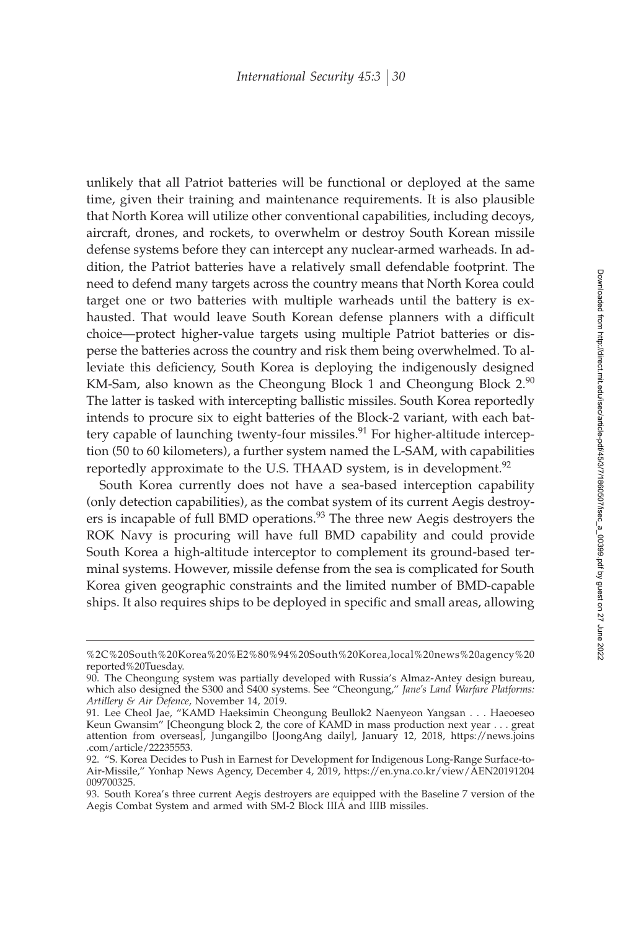unlikely that all Patriot batteries will be functional or deployed at the same time, given their training and maintenance requirements. It is also plausible that North Korea will utilize other conventional capabilities, including decoys, aircraft, drones, and rockets, to overwhelm or destroy South Korean missile defense systems before they can intercept any nuclear-armed warheads. In addition, the Patriot batteries have a relatively small defendable footprint. The need to defend many targets across the country means that North Korea could target one or two batteries with multiple warheads until the battery is exhausted. That would leave South Korean defense planners with a difficult choice—protect higher-value targets using multiple Patriot batteries or disperse the batteries across the country and risk them being overwhelmed. To alleviate this deficiency, South Korea is deploying the indigenously designed KM-Sam, also known as the Cheongung Block 1 and Cheongung Block  $2.90$ The latter is tasked with intercepting ballistic missiles. South Korea reportedly intends to procure six to eight batteries of the Block-2 variant, with each battery capable of launching twenty-four missiles.<sup>91</sup> For higher-altitude interception (50 to 60 kilometers), a further system named the L-SAM, with capabilities reportedly approximate to the U.S. THAAD system, is in development.<sup>92</sup>

South Korea currently does not have a sea-based interception capability (only detection capabilities), as the combat system of its current Aegis destroyers is incapable of full BMD operations.<sup>93</sup> The three new Aegis destroyers the ROK Navy is procuring will have full BMD capability and could provide South Korea a high-altitude interceptor to complement its ground-based terminal systems. However, missile defense from the sea is complicated for South Korea given geographic constraints and the limited number of BMD-capable ships. It also requires ships to be deployed in specific and small areas, allowing

<sup>%2</sup>C%20South%20Korea%20%E2%80%94%20South%20Korea,local%20news%20agency%20 reported%20Tuesday.

<sup>90.</sup> The Cheongung system was partially developed with Russia's Almaz-Antey design bureau, which also designed the S300 and S400 systems. See "Cheongung," *Jane's Land Warfare Platforms: Artillery & Air Defence*, November 14, 2019.

<sup>91.</sup> Lee Cheol Jae, "KAMD Haeksimin Cheongung Beullok2 Naenyeon Yangsan . . . Haeoeseo Keun Gwansim" [Cheongung block 2, the core of KAMD in mass production next year . . . great attention from overseas], Jungangilbo [JoongAng daily], January 12, 2018, https://news.joins .com/article/22235553.

<sup>92. &</sup>quot;S. Korea Decides to Push in Earnest for Development for Indigenous Long-Range Surface-to-Air-Missile," Yonhap News Agency, December 4, 2019, https://en.yna.co.kr/view/AEN20191204 009700325.

<sup>93.</sup> South Korea's three current Aegis destroyers are equipped with the Baseline 7 version of the Aegis Combat System and armed with SM-2 Block IIIA and IIIB missiles.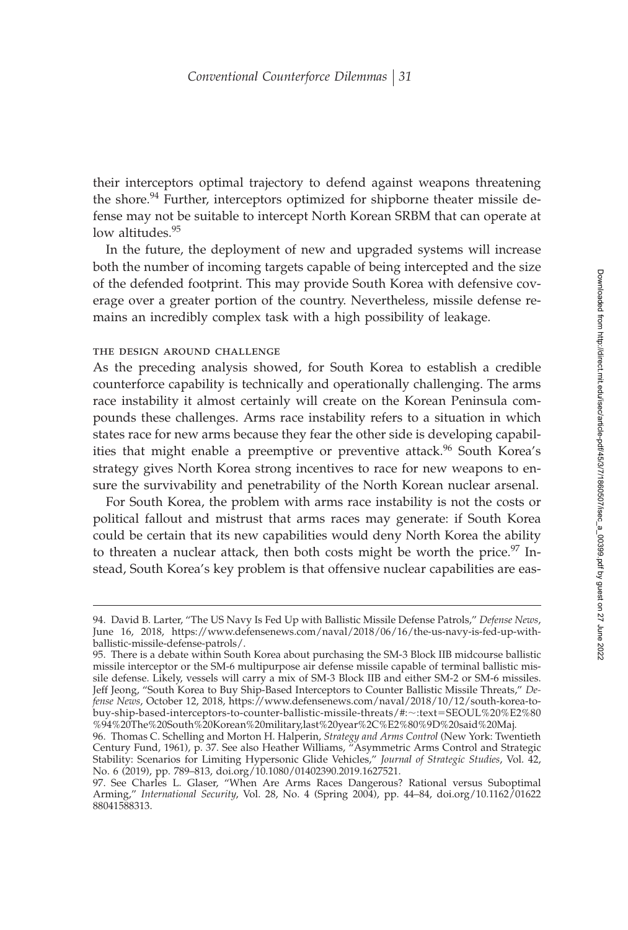their interceptors optimal trajectory to defend against weapons threatening the shore.<sup>94</sup> Further, interceptors optimized for shipborne theater missile defense may not be suitable to intercept North Korean SRBM that can operate at low altitudes.<sup>95</sup>

In the future, the deployment of new and upgraded systems will increase both the number of incoming targets capable of being intercepted and the size of the defended footprint. This may provide South Korea with defensive coverage over a greater portion of the country. Nevertheless, missile defense remains an incredibly complex task with a high possibility of leakage.

### the design around challenge

As the preceding analysis showed, for South Korea to establish a credible counterforce capability is technically and operationally challenging. The arms race instability it almost certainly will create on the Korean Peninsula compounds these challenges. Arms race instability refers to a situation in which states race for new arms because they fear the other side is developing capabilities that might enable a preemptive or preventive attack.<sup>96</sup> South Korea's strategy gives North Korea strong incentives to race for new weapons to ensure the survivability and penetrability of the North Korean nuclear arsenal.

For South Korea, the problem with arms race instability is not the costs or political fallout and mistrust that arms races may generate: if South Korea could be certain that its new capabilities would deny North Korea the ability to threaten a nuclear attack, then both costs might be worth the price.<sup>97</sup> Instead, South Korea's key problem is that offensive nuclear capabilities are eas-

<sup>94.</sup> David B. Larter, "The US Navy Is Fed Up with Ballistic Missile Defense Patrols," *Defense News*, June 16, 2018, https://www.defensenews.com/naval/2018/06/16/the-us-navy-is-fed-up-withballistic-missile-defense-patrols/.

<sup>95.</sup> There is a debate within South Korea about purchasing the SM-3 Block IIB midcourse ballistic missile interceptor or the SM-6 multipurpose air defense missile capable of terminal ballistic missile defense. Likely, vessels will carry a mix of SM-3 Block IIB and either SM-2 or SM-6 missiles. Jeff Jeong, "South Korea to Buy Ship-Based Interceptors to Counter Ballistic Missile Threats," *Defense News*, October 12, 2018, https://www.defensenews.com/naval/2018/10/12/south-korea-tobuy-ship-based-interceptors-to-counter-ballistic-missile-threats/#:~:text=SEOUL%20%E2%80 %94%20The%20South%20Korean%20military,last%20year%2C%E2%80%9D%20said%20Maj.

<sup>96.</sup> Thomas C. Schelling and Morton H. Halperin, *Strategy and Arms Control* (New York: Twentieth Century Fund, 1961), p. 37. See also Heather Williams, "Asymmetric Arms Control and Strategic Stability: Scenarios for Limiting Hypersonic Glide Vehicles," *Journal of Strategic Studies*, Vol. 42, No. 6 (2019), pp. 789–813, doi.org/10.1080/01402390.2019.1627521.

<sup>97.</sup> See Charles L. Glaser, "When Are Arms Races Dangerous? Rational versus Suboptimal Arming," *International Security*, Vol. 28, No. 4 (Spring 2004), pp. 44–84, doi.org/10.1162/01622 88041588313.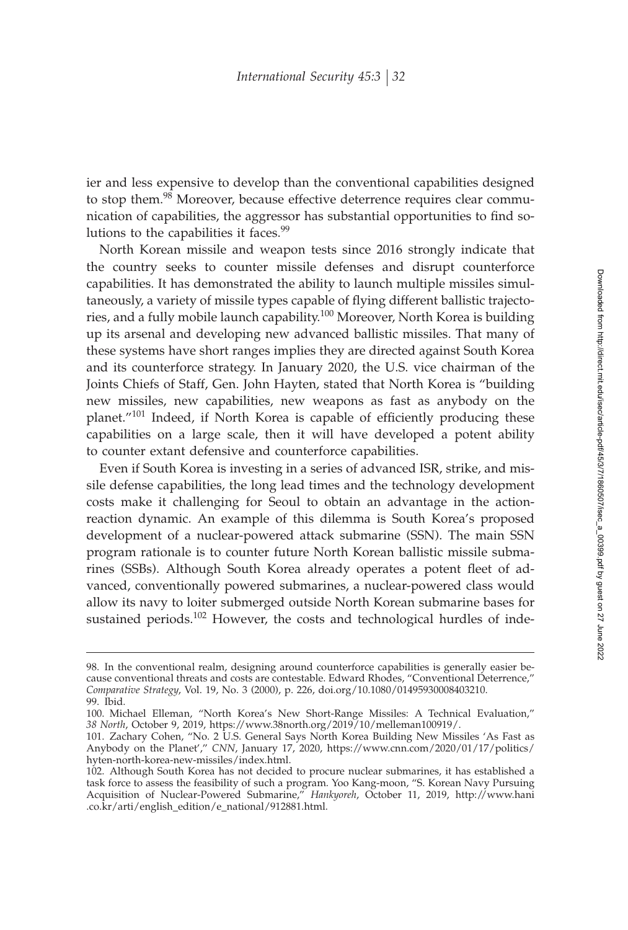ier and less expensive to develop than the conventional capabilities designed to stop them.<sup>98</sup> Moreover, because effective deterrence requires clear communication of capabilities, the aggressor has substantial opportunities to find solutions to the capabilities it faces.<sup>99</sup>

North Korean missile and weapon tests since 2016 strongly indicate that the country seeks to counter missile defenses and disrupt counterforce capabilities. It has demonstrated the ability to launch multiple missiles simultaneously, a variety of missile types capable of flying different ballistic trajectories, and a fully mobile launch capability.<sup>100</sup> Moreover, North Korea is building up its arsenal and developing new advanced ballistic missiles. That many of these systems have short ranges implies they are directed against South Korea and its counterforce strategy. In January 2020, the U.S. vice chairman of the Joints Chiefs of Staff, Gen. John Hayten, stated that North Korea is "building new missiles, new capabilities, new weapons as fast as anybody on the planet. $101$  Indeed, if North Korea is capable of efficiently producing these capabilities on a large scale, then it will have developed a potent ability to counter extant defensive and counterforce capabilities.

Even if South Korea is investing in a series of advanced ISR, strike, and missile defense capabilities, the long lead times and the technology development costs make it challenging for Seoul to obtain an advantage in the actionreaction dynamic. An example of this dilemma is South Korea's proposed development of a nuclear-powered attack submarine (SSN). The main SSN program rationale is to counter future North Korean ballistic missile submarines (SSBs). Although South Korea already operates a potent fleet of advanced, conventionally powered submarines, a nuclear-powered class would allow its navy to loiter submerged outside North Korean submarine bases for sustained periods.<sup>102</sup> However, the costs and technological hurdles of inde-

<sup>98.</sup> In the conventional realm, designing around counterforce capabilities is generally easier because conventional threats and costs are contestable. Edward Rhodes, "Conventional Deterrence," *Comparative Strategy*, Vol. 19, No. 3 (2000), p. 226, doi.org/10.1080/01495930008403210. 99. Ibid.

<sup>100.</sup> Michael Elleman, "North Korea's New Short-Range Missiles: A Technical Evaluation," *38 North*, October 9, 2019, https://www.38north.org/2019/10/melleman100919/.

<sup>101.</sup> Zachary Cohen, "No. 2 U.S. General Says North Korea Building New Missiles 'As Fast as Anybody on the Planet'," *CNN*, January 17, 2020, https://www.cnn.com/2020/01/17/politics/ hyten-north-korea-new-missiles/index.html.

<sup>102.</sup> Although South Korea has not decided to procure nuclear submarines, it has established a task force to assess the feasibility of such a program. Yoo Kang-moon, "S. Korean Navy Pursuing Acquisition of Nuclear-Powered Submarine," *Hankyoreh*, October 11, 2019, http://www.hani .co.kr/arti/english\_edition/e\_national/912881.html.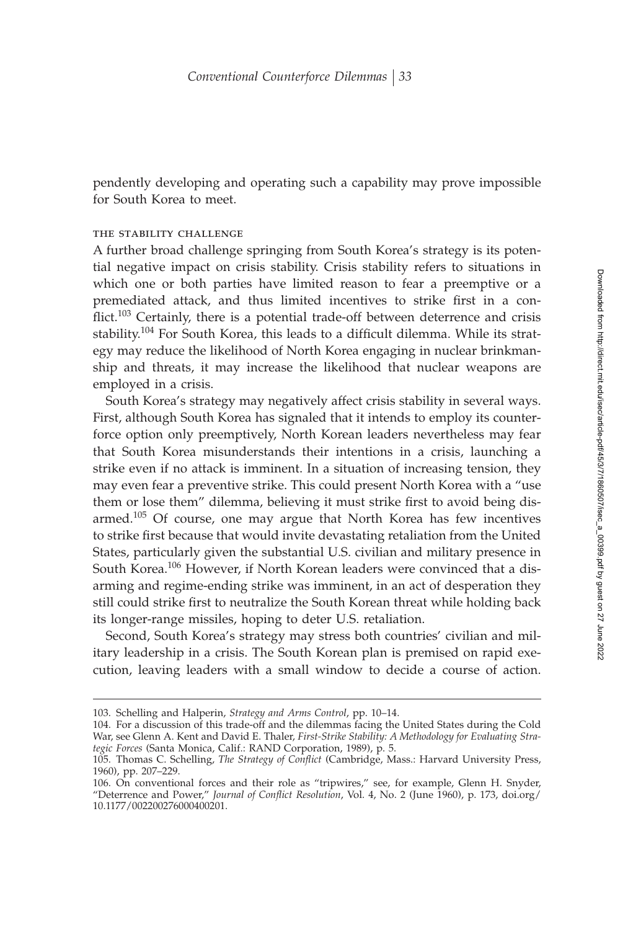pendently developing and operating such a capability may prove impossible for South Korea to meet.

#### the stability challenge

A further broad challenge springing from South Korea's strategy is its potential negative impact on crisis stability. Crisis stability refers to situations in which one or both parties have limited reason to fear a preemptive or a premediated attack, and thus limited incentives to strike first in a conflict.<sup>103</sup> Certainly, there is a potential trade-off between deterrence and crisis stability.<sup>104</sup> For South Korea, this leads to a difficult dilemma. While its strategy may reduce the likelihood of North Korea engaging in nuclear brinkmanship and threats, it may increase the likelihood that nuclear weapons are employed in a crisis.

South Korea's strategy may negatively affect crisis stability in several ways. First, although South Korea has signaled that it intends to employ its counterforce option only preemptively, North Korean leaders nevertheless may fear that South Korea misunderstands their intentions in a crisis, launching a strike even if no attack is imminent. In a situation of increasing tension, they may even fear a preventive strike. This could present North Korea with a "use them or lose them" dilemma, believing it must strike first to avoid being disarmed.<sup>105</sup> Of course, one may argue that North Korea has few incentives to strike first because that would invite devastating retaliation from the United States, particularly given the substantial U.S. civilian and military presence in South Korea.<sup>106</sup> However, if North Korean leaders were convinced that a disarming and regime-ending strike was imminent, in an act of desperation they still could strike first to neutralize the South Korean threat while holding back its longer-range missiles, hoping to deter U.S. retaliation.

Second, South Korea's strategy may stress both countries' civilian and military leadership in a crisis. The South Korean plan is premised on rapid execution, leaving leaders with a small window to decide a course of action.

<sup>103.</sup> Schelling and Halperin, *Strategy and Arms Control*, pp. 10–14.

<sup>104.</sup> For a discussion of this trade-off and the dilemmas facing the United States during the Cold War, see Glenn A. Kent and David E. Thaler, *First-Strike Stability: A Methodology for Evaluating Strategic Forces* (Santa Monica, Calif.: RAND Corporation, 1989), p. 5.

<sup>105.</sup> Thomas C. Schelling, *The Strategy of Conflict* (Cambridge, Mass.: Harvard University Press, 1960), pp. 207–229.

<sup>106.</sup> On conventional forces and their role as "tripwires," see, for example, Glenn H. Snyder, "Deterrence and Power," *Journal of Conflict Resolution*, Vol. 4, No. 2 (June 1960), p. 173, doi.org/ 10.1177/002200276000400201.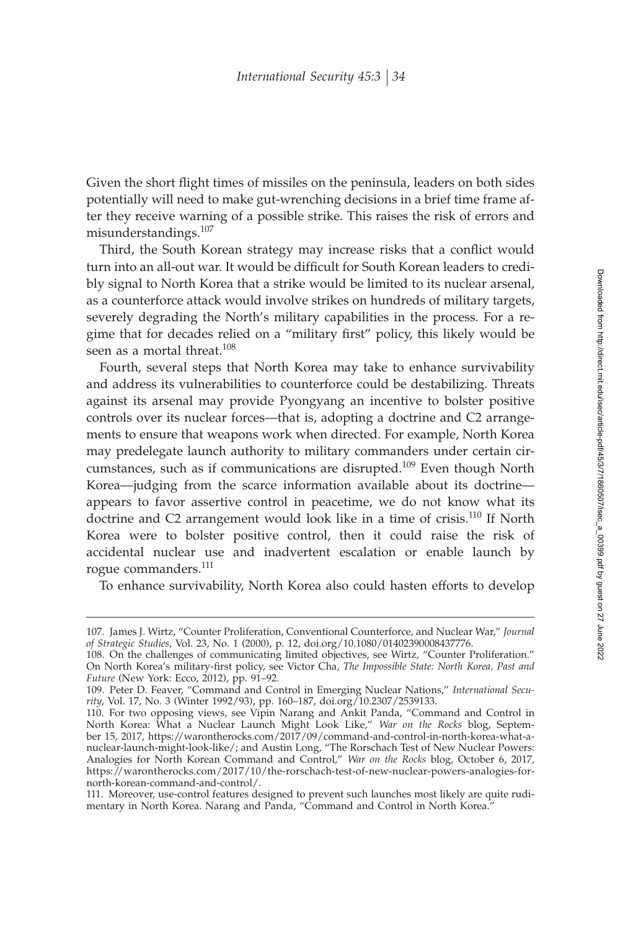Given the short flight times of missiles on the peninsula, leaders on both sides potentially will need to make gut-wrenching decisions in a brief time frame after they receive warning of a possible strike. This raises the risk of errors and misunderstandings.<sup>107</sup>

Third, the South Korean strategy may increase risks that a conflict would turn into an all-out war. It would be difficult for South Korean leaders to credibly signal to North Korea that a strike would be limited to its nuclear arsenal, as a counterforce attack would involve strikes on hundreds of military targets, severely degrading the North's military capabilities in the process. For a regime that for decades relied on a "military first" policy, this likely would be seen as a mortal threat.<sup>108</sup>

Fourth, several steps that North Korea may take to enhance survivability and address its vulnerabilities to counterforce could be destabilizing. Threats against its arsenal may provide Pyongyang an incentive to bolster positive controls over its nuclear forces—that is, adopting a doctrine and C2 arrangements to ensure that weapons work when directed. For example, North Korea may predelegate launch authority to military commanders under certain circumstances, such as if communications are disrupted.<sup>109</sup> Even though North Korea—judging from the scarce information available about its doctrine appears to favor assertive control in peacetime, we do not know what its doctrine and C2 arrangement would look like in a time of crisis.<sup>110</sup> If North Korea were to bolster positive control, then it could raise the risk of accidental nuclear use and inadvertent escalation or enable launch by rogue commanders.<sup>111</sup>

To enhance survivability, North Korea also could hasten efforts to develop

<sup>107.</sup> James J. Wirtz, "Counter Proliferation, Conventional Counterforce, and Nuclear War," *Journal of Strategic Studies*, Vol. 23, No. 1 (2000), p. 12, doi.org/10.1080/01402390008437776.

<sup>108.</sup> On the challenges of communicating limited objectives, see Wirtz, "Counter Proliferation." On North Korea's military-first policy, see Victor Cha, The Impossible State: North Korea, Past and *Future* (New York: Ecco, 2012), pp. 91–92.

<sup>109.</sup> Peter D. Feaver, "Command and Control in Emerging Nuclear Nations," *International Security*, Vol. 17, No. 3 (Winter 1992/93), pp. 160–187, doi.org/10.2307/2539133.

<sup>110.</sup> For two opposing views, see Vipin Narang and Ankit Panda, "Command and Control in North Korea: What a Nuclear Launch Might Look Like," *War on the Rocks* blog, September 15, 2017, https://warontherocks.com/2017/09/command-and-control-in-north-korea-what-anuclear-launch-might-look-like/; and Austin Long, "The Rorschach Test of New Nuclear Powers: Analogies for North Korean Command and Control," *War on the Rocks* blog, October 6, 2017, https://warontherocks.com/2017/10/the-rorschach-test-of-new-nuclear-powers-analogies-fornorth-korean-command-and-control/.

<sup>111.</sup> Moreover, use-control features designed to prevent such launches most likely are quite rudimentary in North Korea. Narang and Panda, "Command and Control in North Korea."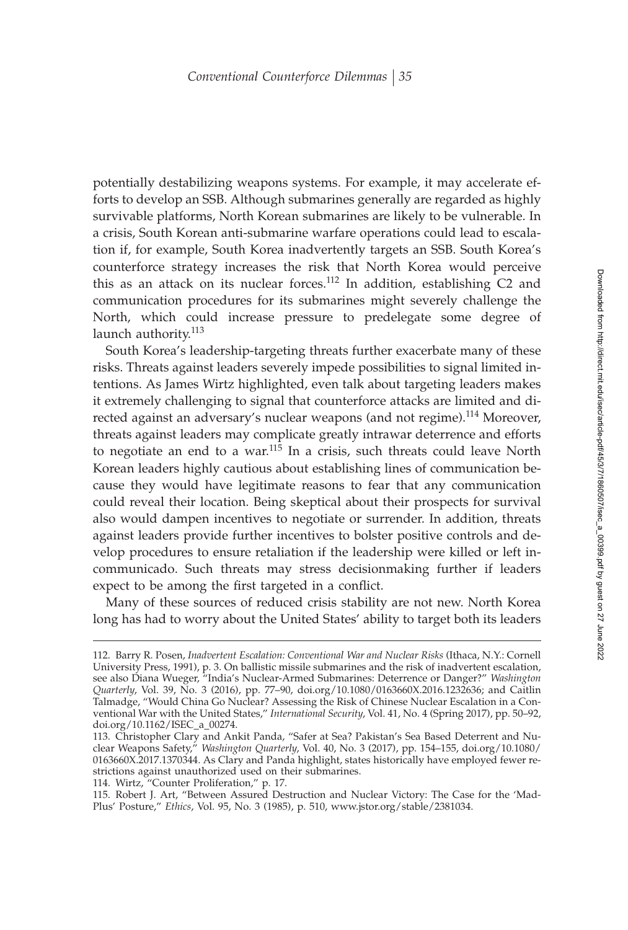potentially destabilizing weapons systems. For example, it may accelerate efforts to develop an SSB. Although submarines generally are regarded as highly survivable platforms, North Korean submarines are likely to be vulnerable. In a crisis, South Korean anti-submarine warfare operations could lead to escalation if, for example, South Korea inadvertently targets an SSB. South Korea's counterforce strategy increases the risk that North Korea would perceive this as an attack on its nuclear forces.<sup>112</sup> In addition, establishing C2 and communication procedures for its submarines might severely challenge the North, which could increase pressure to predelegate some degree of launch authority.<sup>113</sup>

South Korea's leadership-targeting threats further exacerbate many of these risks. Threats against leaders severely impede possibilities to signal limited intentions. As James Wirtz highlighted, even talk about targeting leaders makes it extremely challenging to signal that counterforce attacks are limited and directed against an adversary's nuclear weapons (and not regime).<sup>114</sup> Moreover, threats against leaders may complicate greatly intrawar deterrence and efforts to negotiate an end to a war.<sup>115</sup> In a crisis, such threats could leave North Korean leaders highly cautious about establishing lines of communication because they would have legitimate reasons to fear that any communication could reveal their location. Being skeptical about their prospects for survival also would dampen incentives to negotiate or surrender. In addition, threats against leaders provide further incentives to bolster positive controls and develop procedures to ensure retaliation if the leadership were killed or left incommunicado. Such threats may stress decisionmaking further if leaders expect to be among the first targeted in a conflict.

Many of these sources of reduced crisis stability are not new. North Korea long has had to worry about the United States' ability to target both its leaders

114. Wirtz, "Counter Proliferation," p. 17.

<sup>112.</sup> Barry R. Posen, *Inadvertent Escalation: Conventional War and Nuclear Risks* (Ithaca, N.Y.: Cornell University Press, 1991), p. 3. On ballistic missile submarines and the risk of inadvertent escalation, see also Diana Wueger, "India's Nuclear-Armed Submarines: Deterrence or Danger?" *Washington Quarterly*, Vol. 39, No. 3 (2016), pp. 77–90, doi.org/10.1080/0163660X.2016.1232636; and Caitlin Talmadge, "Would China Go Nuclear? Assessing the Risk of Chinese Nuclear Escalation in a Conventional War with the United States," *International Security*, Vol. 41, No. 4 (Spring 2017), pp. 50–92, doi.org/10.1162/ISEC\_a\_00274.

<sup>113.</sup> Christopher Clary and Ankit Panda, "Safer at Sea? Pakistan's Sea Based Deterrent and Nuclear Weapons Safety," *Washington Quarterly*, Vol. 40, No. 3 (2017), pp. 154–155, doi.org/10.1080/ 0163660X.2017.1370344. As Clary and Panda highlight, states historically have employed fewer restrictions against unauthorized used on their submarines.

<sup>115.</sup> Robert J. Art, "Between Assured Destruction and Nuclear Victory: The Case for the 'Mad-Plus' Posture," *Ethics*, Vol. 95, No. 3 (1985), p. 510, www.jstor.org/stable/2381034.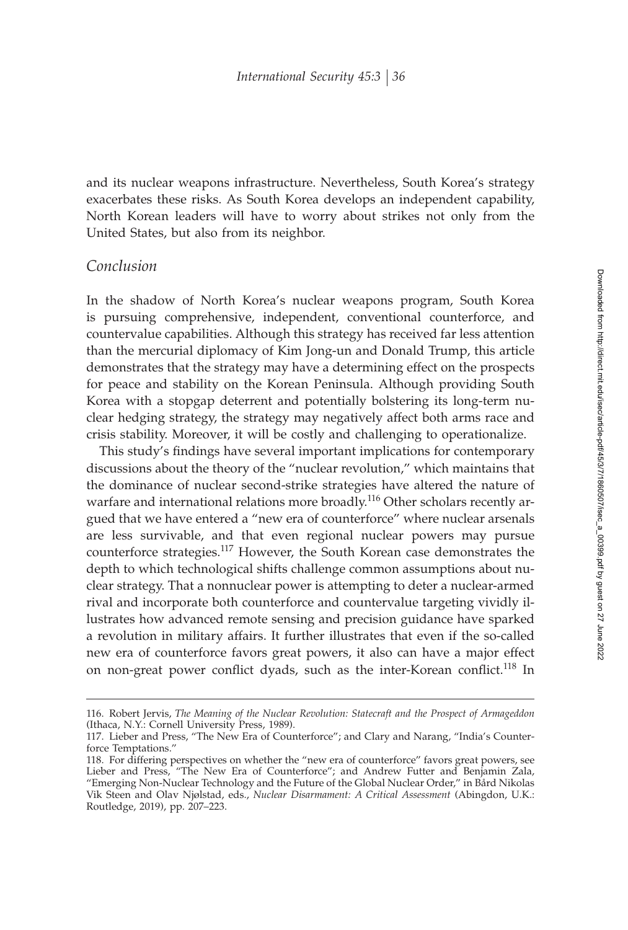and its nuclear weapons infrastructure. Nevertheless, South Korea's strategy exacerbates these risks. As South Korea develops an independent capability, North Korean leaders will have to worry about strikes not only from the United States, but also from its neighbor.

### *Conclusion*

In the shadow of North Korea's nuclear weapons program, South Korea is pursuing comprehensive, independent, conventional counterforce, and countervalue capabilities. Although this strategy has received far less attention than the mercurial diplomacy of Kim Jong-un and Donald Trump, this article demonstrates that the strategy may have a determining effect on the prospects for peace and stability on the Korean Peninsula. Although providing South Korea with a stopgap deterrent and potentially bolstering its long-term nuclear hedging strategy, the strategy may negatively affect both arms race and crisis stability. Moreover, it will be costly and challenging to operationalize.

This study's findings have several important implications for contemporary discussions about the theory of the "nuclear revolution," which maintains that the dominance of nuclear second-strike strategies have altered the nature of warfare and international relations more broadly.<sup>116</sup> Other scholars recently argued that we have entered a "new era of counterforce" where nuclear arsenals are less survivable, and that even regional nuclear powers may pursue counterforce strategies.<sup>117</sup> However, the South Korean case demonstrates the depth to which technological shifts challenge common assumptions about nuclear strategy. That a nonnuclear power is attempting to deter a nuclear-armed rival and incorporate both counterforce and countervalue targeting vividly illustrates how advanced remote sensing and precision guidance have sparked a revolution in military affairs. It further illustrates that even if the so-called new era of counterforce favors great powers, it also can have a major effect on non-great power conflict dyads, such as the inter-Korean conflict.<sup>118</sup> In

<sup>116.</sup> Robert Jervis, *The Meaning of the Nuclear Revolution: Statecraft and the Prospect of Armageddon* (Ithaca, N.Y.: Cornell University Press, 1989).

<sup>117.</sup> Lieber and Press, "The New Era of Counterforce"; and Clary and Narang, "India's Counterforce Temptations."

<sup>118.</sup> For differing perspectives on whether the "new era of counterforce" favors great powers, see Lieber and Press, "The New Era of Counterforce"; and Andrew Futter and Benjamin Zala, "Emerging Non-Nuclear Technology and the Future of the Global Nuclear Order," in Bård Nikolas Vik Steen and Olav Njølstad, eds., *Nuclear Disarmament: A Critical Assessment* (Abingdon, U.K.: Routledge, 2019), pp. 207–223.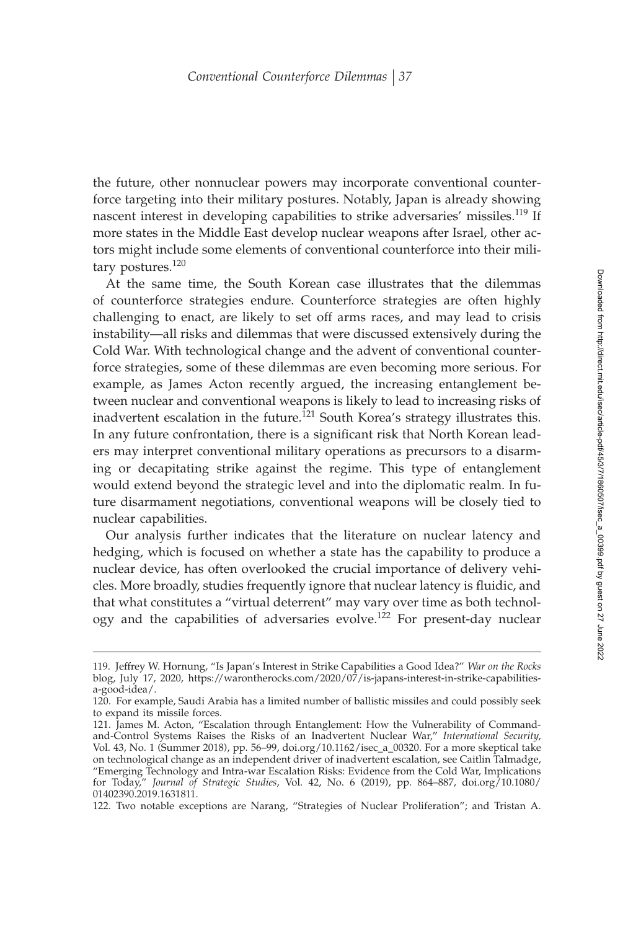the future, other nonnuclear powers may incorporate conventional counterforce targeting into their military postures. Notably, Japan is already showing nascent interest in developing capabilities to strike adversaries' missiles.<sup>119</sup> If more states in the Middle East develop nuclear weapons after Israel, other actors might include some elements of conventional counterforce into their military postures.<sup>120</sup>

At the same time, the South Korean case illustrates that the dilemmas of counterforce strategies endure. Counterforce strategies are often highly challenging to enact, are likely to set off arms races, and may lead to crisis instability—all risks and dilemmas that were discussed extensively during the Cold War. With technological change and the advent of conventional counterforce strategies, some of these dilemmas are even becoming more serious. For example, as James Acton recently argued, the increasing entanglement between nuclear and conventional weapons is likely to lead to increasing risks of inadvertent escalation in the future.<sup>121</sup> South Korea's strategy illustrates this. In any future confrontation, there is a significant risk that North Korean leaders may interpret conventional military operations as precursors to a disarming or decapitating strike against the regime. This type of entanglement would extend beyond the strategic level and into the diplomatic realm. In future disarmament negotiations, conventional weapons will be closely tied to nuclear capabilities.

Our analysis further indicates that the literature on nuclear latency and hedging, which is focused on whether a state has the capability to produce a nuclear device, has often overlooked the crucial importance of delivery vehicles. More broadly, studies frequently ignore that nuclear latency is fluidic, and that what constitutes a "virtual deterrent" may vary over time as both technology and the capabilities of adversaries evolve.<sup>122</sup> For present-day nuclear

<sup>119.</sup> Jeffrey W. Hornung, "Is Japan's Interest in Strike Capabilities a Good Idea?" *War on the Rocks* blog, July 17, 2020, https://warontherocks.com/2020/07/is-japans-interest-in-strike-capabilitiesa-good-idea/.

<sup>120.</sup> For example, Saudi Arabia has a limited number of ballistic missiles and could possibly seek to expand its missile forces.

<sup>121.</sup> James M. Acton, "Escalation through Entanglement: How the Vulnerability of Commandand-Control Systems Raises the Risks of an Inadvertent Nuclear War," *International Security*, Vol. 43, No. 1 (Summer 2018), pp. 56–99, doi.org/10.1162/isec\_a\_00320. For a more skeptical take on technological change as an independent driver of inadvertent escalation, see Caitlin Talmadge, "Emerging Technology and Intra-war Escalation Risks: Evidence from the Cold War, Implications for Today," *Journal of Strategic Studies*, Vol. 42, No. 6 (2019), pp. 864–887, doi.org/10.1080/ 01402390.2019.1631811.

<sup>122.</sup> Two notable exceptions are Narang, "Strategies of Nuclear Proliferation"; and Tristan A.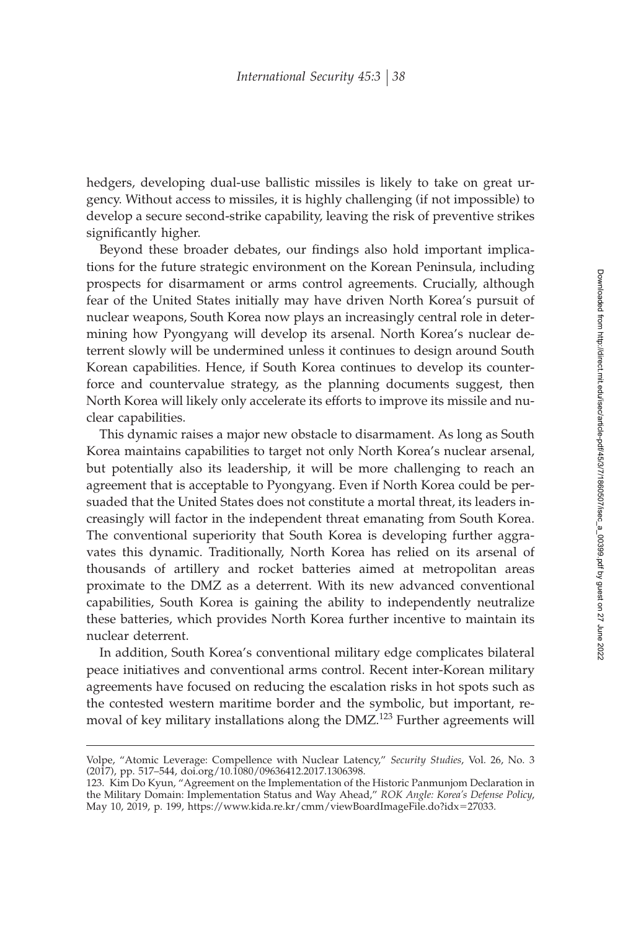hedgers, developing dual-use ballistic missiles is likely to take on great urgency. Without access to missiles, it is highly challenging (if not impossible) to develop a secure second-strike capability, leaving the risk of preventive strikes significantly higher.

Beyond these broader debates, our findings also hold important implications for the future strategic environment on the Korean Peninsula, including prospects for disarmament or arms control agreements. Crucially, although fear of the United States initially may have driven North Korea's pursuit of nuclear weapons, South Korea now plays an increasingly central role in determining how Pyongyang will develop its arsenal. North Korea's nuclear deterrent slowly will be undermined unless it continues to design around South Korean capabilities. Hence, if South Korea continues to develop its counterforce and countervalue strategy, as the planning documents suggest, then North Korea will likely only accelerate its efforts to improve its missile and nuclear capabilities.

This dynamic raises a major new obstacle to disarmament. As long as South Korea maintains capabilities to target not only North Korea's nuclear arsenal, but potentially also its leadership, it will be more challenging to reach an agreement that is acceptable to Pyongyang. Even if North Korea could be persuaded that the United States does not constitute a mortal threat, its leaders increasingly will factor in the independent threat emanating from South Korea. The conventional superiority that South Korea is developing further aggravates this dynamic. Traditionally, North Korea has relied on its arsenal of thousands of artillery and rocket batteries aimed at metropolitan areas proximate to the DMZ as a deterrent. With its new advanced conventional capabilities, South Korea is gaining the ability to independently neutralize these batteries, which provides North Korea further incentive to maintain its nuclear deterrent.

In addition, South Korea's conventional military edge complicates bilateral peace initiatives and conventional arms control. Recent inter-Korean military agreements have focused on reducing the escalation risks in hot spots such as the contested western maritime border and the symbolic, but important, removal of key military installations along the DMZ.<sup>123</sup> Further agreements will

Volpe, "Atomic Leverage: Compellence with Nuclear Latency," *Security Studies*, Vol. 26, No. 3 (2017), pp. 517–544, doi.org/10.1080/09636412.2017.1306398.

<sup>123.</sup> Kim Do Kyun, "Agreement on the Implementation of the Historic Panmunjom Declaration in the Military Domain: Implementation Status and Way Ahead," *ROK Angle: Korea's Defense Policy*, May 10, 2019, p. 199, https://www.kida.re.kr/cmm/viewBoardImageFile.do?idx-27033.